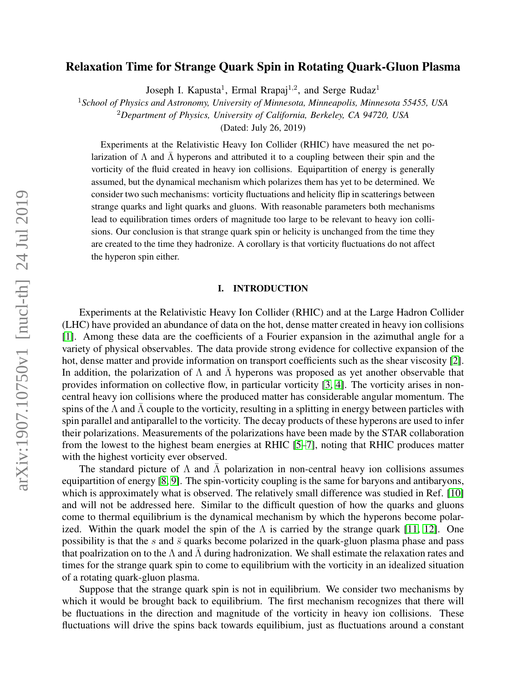# Relaxation Time for Strange Quark Spin in Rotating Quark-Gluon Plasma

Joseph I. Kapusta<sup>1</sup>, Ermal Rrapaj<sup>1,2</sup>, and Serge Rudaz<sup>1</sup>

<sup>1</sup>*School of Physics and Astronomy, University of Minnesota, Minneapolis, Minnesota 55455, USA*

<sup>2</sup>*Department of Physics, University of California, Berkeley, CA 94720, USA*

(Dated: July 26, 2019)

Experiments at the Relativistic Heavy Ion Collider (RHIC) have measured the net polarization of  $\Lambda$  and  $\bar{\Lambda}$  hyperons and attributed it to a coupling between their spin and the vorticity of the fluid created in heavy ion collisions. Equipartition of energy is generally assumed, but the dynamical mechanism which polarizes them has yet to be determined. We consider two such mechanisms: vorticity fluctuations and helicity flip in scatterings between strange quarks and light quarks and gluons. With reasonable parameters both mechanisms lead to equilibration times orders of magnitude too large to be relevant to heavy ion collisions. Our conclusion is that strange quark spin or helicity is unchanged from the time they are created to the time they hadronize. A corollary is that vorticity fluctuations do not affect the hyperon spin either.

### I. INTRODUCTION

Experiments at the Relativistic Heavy Ion Collider (RHIC) and at the Large Hadron Collider (LHC) have provided an abundance of data on the hot, dense matter created in heavy ion collisions [\[1\]](#page-25-0). Among these data are the coefficients of a Fourier expansion in the azimuthal angle for a variety of physical observables. The data provide strong evidence for collective expansion of the hot, dense matter and provide information on transport coefficients such as the shear viscosity [\[2\]](#page-25-1). In addition, the polarization of  $\Lambda$  and  $\Lambda$  hyperons was proposed as yet another observable that provides information on collective flow, in particular vorticity [\[3,](#page-25-2) [4\]](#page-25-3). The vorticity arises in noncentral heavy ion collisions where the produced matter has considerable angular momentum. The spins of the  $\Lambda$  and  $\bar{\Lambda}$  couple to the vorticity, resulting in a splitting in energy between particles with spin parallel and antiparallel to the vorticity. The decay products of these hyperons are used to infer their polarizations. Measurements of the polarizations have been made by the STAR collaboration from the lowest to the highest beam energies at RHIC [\[5–](#page-25-4)[7\]](#page-25-5), noting that RHIC produces matter with the highest vorticity ever observed.

The standard picture of  $\Lambda$  and  $\overline{\Lambda}$  polarization in non-central heavy ion collisions assumes equipartition of energy [\[8,](#page-25-6) [9\]](#page-25-7). The spin-vorticity coupling is the same for baryons and antibaryons, which is approximately what is observed. The relatively small difference was studied in Ref. [\[10\]](#page-25-8) and will not be addressed here. Similar to the difficult question of how the quarks and gluons come to thermal equilibrium is the dynamical mechanism by which the hyperons become polar-ized. Within the quark model the spin of the Λ is carried by the strange quark [\[11,](#page-25-9) [12\]](#page-25-10). One possibility is that the s and  $\bar{s}$  quarks become polarized in the quark-gluon plasma phase and pass that poalrization on to the  $\Lambda$  and  $\Lambda$  during hadronization. We shall estimate the relaxation rates and times for the strange quark spin to come to equilibrium with the vorticity in an idealized situation of a rotating quark-gluon plasma.

Suppose that the strange quark spin is not in equilibrium. We consider two mechanisms by which it would be brought back to equilibrium. The first mechanism recognizes that there will be fluctuations in the direction and magnitude of the vorticity in heavy ion collisions. These fluctuations will drive the spins back towards equilibium, just as fluctuations around a constant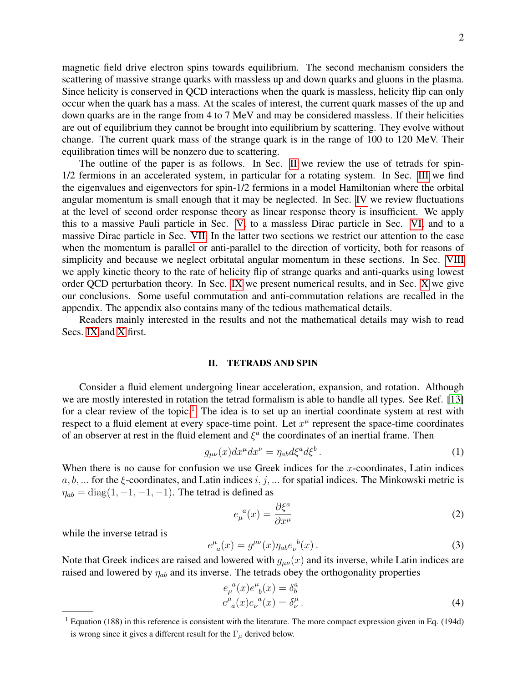magnetic field drive electron spins towards equilibrium. The second mechanism considers the scattering of massive strange quarks with massless up and down quarks and gluons in the plasma. Since helicity is conserved in QCD interactions when the quark is massless, helicity flip can only occur when the quark has a mass. At the scales of interest, the current quark masses of the up and down quarks are in the range from 4 to 7 MeV and may be considered massless. If their helicities are out of equilibrium they cannot be brought into equilibrium by scattering. They evolve without change. The current quark mass of the strange quark is in the range of 100 to 120 MeV. Their equilibration times will be nonzero due to scattering.

The outline of the paper is as follows. In Sec. [II](#page-1-0) we review the use of tetrads for spin-1/2 fermions in an accelerated system, in particular for a rotating system. In Sec. [III](#page-4-0) we find the eigenvalues and eigenvectors for spin-1/2 fermions in a model Hamiltonian where the orbital angular momentum is small enough that it may be neglected. In Sec. [IV](#page-5-0) we review fluctuations at the level of second order response theory as linear response theory is insufficient. We apply this to a massive Pauli particle in Sec. [V,](#page-7-0) to a massless Dirac particle in Sec. [VI,](#page-9-0) and to a massive Dirac particle in Sec. [VII.](#page-11-0) In the latter two sections we restrict our attention to the case when the momentum is parallel or anti-parallel to the direction of vorticity, both for reasons of simplicity and because we neglect orbitatal angular momentum in these sections. In Sec. [VIII](#page-15-0) we apply kinetic theory to the rate of helicity flip of strange quarks and anti-quarks using lowest order QCD perturbation theory. In Sec. [IX](#page-20-0) we present numerical results, and in Sec. [X](#page-23-0) we give our conclusions. Some useful commutation and anti-commutation relations are recalled in the appendix. The appendix also contains many of the tedious mathematical details.

Readers mainly interested in the results and not the mathematical details may wish to read Secs. [IX](#page-20-0) and [X](#page-23-0) first.

### <span id="page-1-0"></span>II. TETRADS AND SPIN

Consider a fluid element undergoing linear acceleration, expansion, and rotation. Although we are mostly interested in rotation the tetrad formalism is able to handle all types. See Ref. [\[13\]](#page-25-11) for a clear review of the topic.<sup>[1](#page-1-1)</sup> The idea is to set up an inertial coordinate system at rest with respect to a fluid element at every space-time point. Let  $x^{\mu}$  represent the space-time coordinates of an observer at rest in the fluid element and  $\xi^a$  the coordinates of an inertial frame. Then

$$
g_{\mu\nu}(x)dx^{\mu}dx^{\nu} = \eta_{ab}d\xi^{a}d\xi^{b}.
$$
 (1)

When there is no cause for confusion we use Greek indices for the  $x$ -coordinates, Latin indices  $a, b, \ldots$  for the  $\xi$ -coordinates, and Latin indices  $i, j, \ldots$  for spatial indices. The Minkowski metric is  $\eta_{ab} = \text{diag}(1, -1, -1, -1)$ . The tetrad is defined as

$$
e_{\mu}^{a}(x) = \frac{\partial \xi^{a}}{\partial x^{\mu}}
$$
 (2)

while the inverse tetrad is

$$
e^{\mu}_{a}(x) = g^{\mu\nu}(x)\eta_{ab}e_{\nu}^{b}(x).
$$
 (3)

Note that Greek indices are raised and lowered with  $g_{\mu\nu}(x)$  and its inverse, while Latin indices are raised and lowered by  $\eta_{ab}$  and its inverse. The tetrads obey the orthogonality properties

$$
e_{\mu}^{a}(x)e_{b}^{\mu}(x) = \delta_{b}^{a}
$$
  
\n
$$
e_{a}^{\mu}(x)e_{\nu}^{a}(x) = \delta_{\nu}^{\mu}.
$$
\n(4)

<span id="page-1-1"></span> $1$  Equation (188) in this reference is consistent with the literature. The more compact expression given in Eq. (194d) is wrong since it gives a different result for the  $\Gamma_{\mu}$  derived below.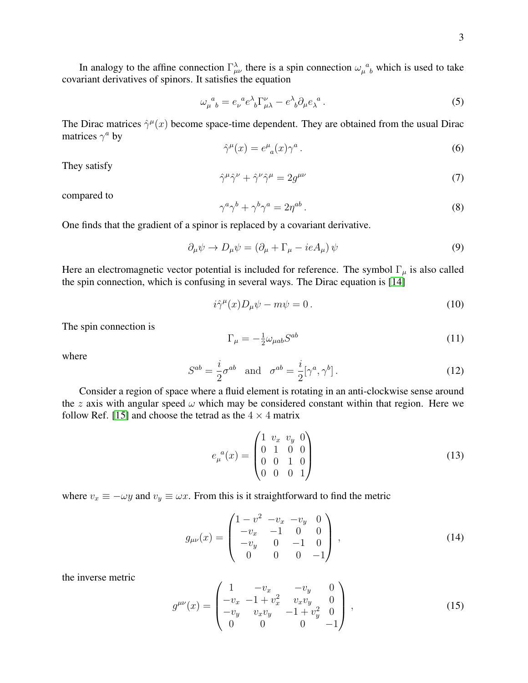In analogy to the affine connection  $\Gamma_{\mu\nu}^{\lambda}$  there is a spin connection  $\omega_{\mu}^{\ \ a}$  which is used to take covariant derivatives of spinors. It satisfies the equation

$$
\omega_{\mu}^{\ a}{}_{b} = e_{\nu}^{\ a} e^{\lambda}{}_{b} \Gamma_{\mu\lambda}^{\nu} - e^{\lambda}{}_{b} \partial_{\mu} e_{\lambda}^{\ a} \,. \tag{5}
$$

The Dirac matrices  $\hat{\gamma}^{\mu}(x)$  become space-time dependent. They are obtained from the usual Dirac matrices  $\gamma^a$  by

$$
\hat{\gamma}^{\mu}(x) = e^{\mu}_{a}(x)\gamma^{a}.
$$
\n(6)

They satisfy

$$
\hat{\gamma}^{\mu}\hat{\gamma}^{\nu} + \hat{\gamma}^{\nu}\hat{\gamma}^{\mu} = 2g^{\mu\nu} \tag{7}
$$

compared to

$$
\gamma^a \gamma^b + \gamma^b \gamma^a = 2\eta^{ab} \,. \tag{8}
$$

One finds that the gradient of a spinor is replaced by a covariant derivative.

$$
\partial_{\mu}\psi \to D_{\mu}\psi = (\partial_{\mu} + \Gamma_{\mu} - ieA_{\mu})\psi \tag{9}
$$

Here an electromagnetic vector potential is included for reference. The symbol  $\Gamma_{\mu}$  is also called the spin connection, which is confusing in several ways. The Dirac equation is [\[14\]](#page-25-12)

$$
i\hat{\gamma}^{\mu}(x)D_{\mu}\psi - m\psi = 0.
$$
 (10)

The spin connection is

$$
\Gamma_{\mu} = -\frac{1}{2}\omega_{\mu ab}S^{ab} \tag{11}
$$

where

$$
S^{ab} = \frac{i}{2}\sigma^{ab} \quad \text{and} \quad \sigma^{ab} = \frac{i}{2}[\gamma^a, \gamma^b]. \tag{12}
$$

Consider a region of space where a fluid element is rotating in an anti-clockwise sense around the z axis with angular speed  $\omega$  which may be considered constant within that region. Here we follow Ref. [\[15\]](#page-25-13) and choose the tetrad as the  $4 \times 4$  matrix

$$
e_{\mu}^{a}(x) = \begin{pmatrix} 1 & v_{x} & v_{y} & 0 \\ 0 & 1 & 0 & 0 \\ 0 & 0 & 1 & 0 \\ 0 & 0 & 0 & 1 \end{pmatrix}
$$
 (13)

where  $v_x \equiv -\omega y$  and  $v_y \equiv \omega x$ . From this is it straightforward to find the metric

$$
g_{\mu\nu}(x) = \begin{pmatrix} 1 - v^2 & -v_x & -v_y & 0 \\ -v_x & -1 & 0 & 0 \\ -v_y & 0 & -1 & 0 \\ 0 & 0 & 0 & -1 \end{pmatrix},
$$
(14)

the inverse metric

$$
g^{\mu\nu}(x) = \begin{pmatrix} 1 & -v_x & -v_y & 0 \\ -v_x & -1 + v_x^2 & v_x v_y & 0 \\ -v_y & v_x v_y & -1 + v_y^2 & 0 \\ 0 & 0 & 0 & -1 \end{pmatrix},
$$
(15)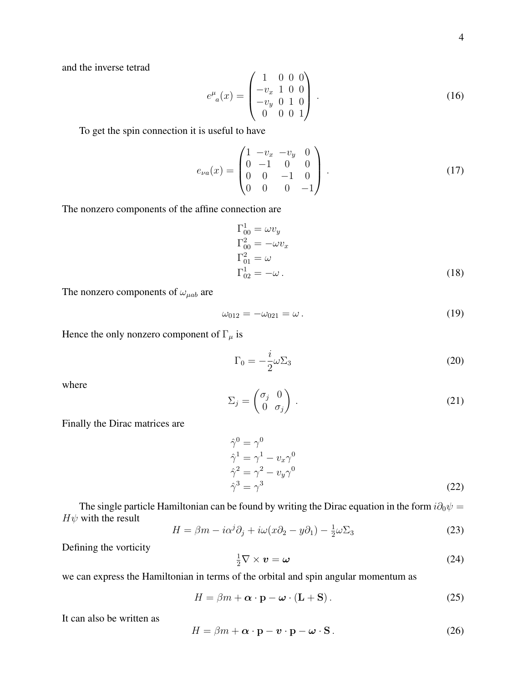and the inverse tetrad

$$
e^{\mu}_{a}(x) = \begin{pmatrix} 1 & 0 & 0 & 0 \\ -v_{x} & 1 & 0 & 0 \\ -v_{y} & 0 & 1 & 0 \\ 0 & 0 & 0 & 1 \end{pmatrix} . \tag{16}
$$

To get the spin connection it is useful to have

$$
e_{\nu a}(x) = \begin{pmatrix} 1 & -v_x & -v_y & 0 \\ 0 & -1 & 0 & 0 \\ 0 & 0 & -1 & 0 \\ 0 & 0 & 0 & -1 \end{pmatrix} . \tag{17}
$$

The nonzero components of the affine connection are

$$
\Gamma_{00}^{1} = \omega v_y
$$
  
\n
$$
\Gamma_{00}^{2} = -\omega v_x
$$
  
\n
$$
\Gamma_{01}^{2} = \omega
$$
  
\n
$$
\Gamma_{02}^{1} = -\omega.
$$
\n(18)

The nonzero components of  $\omega_{\mu ab}$  are

$$
\omega_{012} = -\omega_{021} = \omega \,. \tag{19}
$$

Hence the only nonzero component of  $\Gamma_{\mu}$  is

$$
\Gamma_0 = -\frac{i}{2}\omega \Sigma_3 \tag{20}
$$

where

$$
\Sigma_j = \begin{pmatrix} \sigma_j & 0 \\ 0 & \sigma_j \end{pmatrix} . \tag{21}
$$

Finally the Dirac matrices are

$$
\begin{aligned}\n\hat{\gamma}^0 &= \gamma^0 \\
\hat{\gamma}^1 &= \gamma^1 - v_x \gamma^0 \\
\hat{\gamma}^2 &= \gamma^2 - v_y \gamma^0 \\
\hat{\gamma}^3 &= \gamma^3\n\end{aligned} \tag{22}
$$

The single particle Hamiltonian can be found by writing the Dirac equation in the form  $i\partial_0\psi =$  $H\psi$  with the result

$$
H = \beta m - i\alpha^{j}\partial_{j} + i\omega(x\partial_{2} - y\partial_{1}) - \frac{1}{2}\omega\Sigma_{3}
$$
\n(23)

Defining the vorticity

$$
\frac{1}{2}\nabla \times \mathbf{v} = \boldsymbol{\omega} \tag{24}
$$

we can express the Hamiltonian in terms of the orbital and spin angular momentum as

<span id="page-3-0"></span>
$$
H = \beta m + \alpha \cdot \mathbf{p} - \boldsymbol{\omega} \cdot (\mathbf{L} + \mathbf{S}). \tag{25}
$$

It can also be written as

<span id="page-3-1"></span>
$$
H = \beta m + \alpha \cdot \mathbf{p} - \mathbf{v} \cdot \mathbf{p} - \boldsymbol{\omega} \cdot \mathbf{S}.
$$
 (26)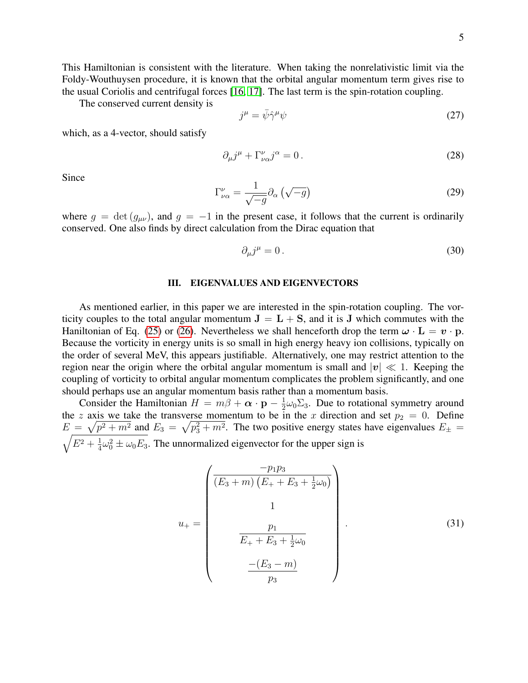This Hamiltonian is consistent with the literature. When taking the nonrelativistic limit via the Foldy-Wouthuysen procedure, it is known that the orbital angular momentum term gives rise to the usual Coriolis and centrifugal forces [\[16,](#page-26-0) [17\]](#page-26-1). The last term is the spin-rotation coupling.

The conserved current density is

$$
j^{\mu} = \bar{\psi}\hat{\gamma}^{\mu}\psi \tag{27}
$$

which, as a 4-vector, should satisfy

$$
\partial_{\mu}j^{\mu} + \Gamma^{\nu}_{\nu\alpha}j^{\alpha} = 0. \qquad (28)
$$

Since

$$
\Gamma^{\nu}_{\nu\alpha} = \frac{1}{\sqrt{-g}} \partial_{\alpha} \left( \sqrt{-g} \right) \tag{29}
$$

where  $g = \det(g_{\mu\nu})$ , and  $g = -1$  in the present case, it follows that the current is ordinarily conserved. One also finds by direct calculation from the Dirac equation that

$$
\partial_{\mu}j^{\mu} = 0. \tag{30}
$$

### <span id="page-4-0"></span>III. EIGENVALUES AND EIGENVECTORS

As mentioned earlier, in this paper we are interested in the spin-rotation coupling. The vorticity couples to the total angular momentum  $J = L + S$ , and it is J which commutes with the Haniltonian of Eq. [\(25\)](#page-3-0) or [\(26\)](#page-3-1). Nevertheless we shall henceforth drop the term  $\omega \cdot L = v \cdot p$ . Because the vorticity in energy units is so small in high energy heavy ion collisions, typically on the order of several MeV, this appears justifiable. Alternatively, one may restrict attention to the region near the origin where the orbital angular momentum is small and  $|v| \ll 1$ . Keeping the coupling of vorticity to orbital angular momentum complicates the problem significantly, and one should perhaps use an angular momentum basis rather than a momentum basis.

Consider the Hamiltonian  $H = m\beta + \alpha \cdot \mathbf{p} - \frac{1}{2}$  $\frac{1}{2}\omega_0\Sigma_3$ . Due to rotational symmetry around the z axis we take the transverse momentum to be in the x direction and set  $p_2 = 0$ . Define  $E = \sqrt{p^2 + m^2}$  and  $E_3 = \sqrt{p_3^2 + m^2}$ . The two positive energy states have eigenvalues  $E_{\pm}$  =  $\sqrt{E^2 + \frac{1}{4}}$  $\frac{1}{4}\omega_0^2 \pm \omega_0 E_3$ . The unnormalized eigenvector for the upper sign is

$$
u_{+} = \begin{pmatrix} \frac{-p_{1}p_{3}}{(E_{3} + m) (E_{+} + E_{3} + \frac{1}{2}\omega_{0})} \\ 1 \\ \frac{p_{1}}{E_{+} + E_{3} + \frac{1}{2}\omega_{0}} \\ \frac{-(E_{3} - m)}{p_{3}} \end{pmatrix}.
$$
 (31)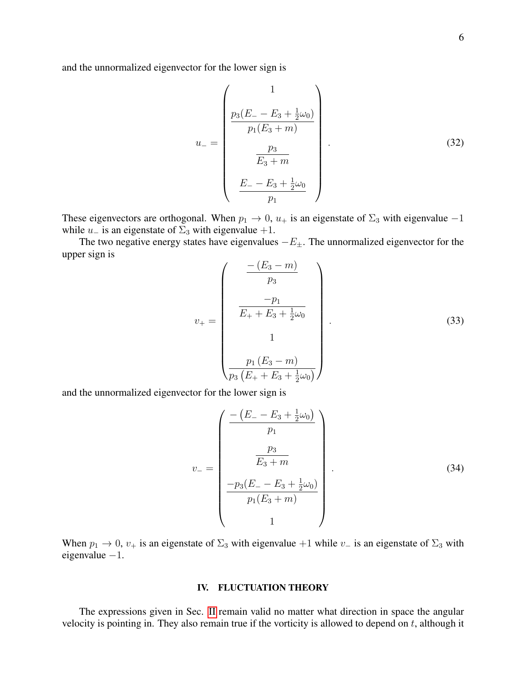and the unnormalized eigenvector for the lower sign is

$$
u_{-} = \begin{pmatrix} 1 \\ \frac{p_3(E_{-} - E_3 + \frac{1}{2}\omega_0)}{p_1(E_3 + m)} \\ \frac{p_3}{E_3 + m} \\ \frac{E_{-} - E_3 + \frac{1}{2}\omega_0}{p_1} \end{pmatrix} .
$$
(32)

These eigenvectors are orthogonal. When  $p_1 \to 0$ ,  $u_+$  is an eigenstate of  $\Sigma_3$  with eigenvalue  $-1$ while  $u_$  is an eigenstate of  $\Sigma_3$  with eigenvalue +1.

The two negative energy states have eigenvalues  $-E_{\pm}$ . The unnormalized eigenvector for the upper sign is

$$
v_{+} = \begin{pmatrix} \frac{-(E_{3} - m)}{p_{3}} \\ \frac{-p_{1}}{E_{+} + E_{3} + \frac{1}{2}\omega_{0}} \\ 1 \\ \frac{p_{1}(E_{3} - m)}{p_{3}(E_{+} + E_{3} + \frac{1}{2}\omega_{0})} \end{pmatrix}.
$$
 (33)

and the unnormalized eigenvector for the lower sign is

$$
v_{-} = \begin{pmatrix} \frac{-\left(E_{-} - E_{3} + \frac{1}{2}\omega_{0}\right)}{p_{1}} \\ \frac{p_{3}}{E_{3} + m} \\ \frac{-p_{3}(E_{-} - E_{3} + \frac{1}{2}\omega_{0})}{p_{1}(E_{3} + m)} \\ 1 \end{pmatrix} . \tag{34}
$$

When  $p_1 \to 0$ ,  $v_+$  is an eigenstate of  $\Sigma_3$  with eigenvalue +1 while  $v_-$  is an eigenstate of  $\Sigma_3$  with eigenvalue −1.

### <span id="page-5-0"></span>IV. FLUCTUATION THEORY

The expressions given in Sec. [II](#page-1-0) remain valid no matter what direction in space the angular velocity is pointing in. They also remain true if the vorticity is allowed to depend on  $t$ , although it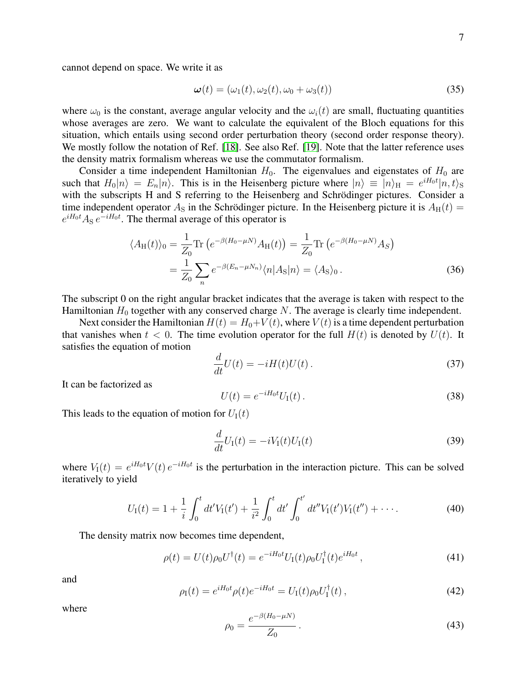cannot depend on space. We write it as

$$
\boldsymbol{\omega}(t) = (\omega_1(t), \omega_2(t), \omega_0 + \omega_3(t)) \tag{35}
$$

where  $\omega_0$  is the constant, average angular velocity and the  $\omega_i(t)$  are small, fluctuating quantities whose averages are zero. We want to calculate the equivalent of the Bloch equations for this situation, which entails using second order perturbation theory (second order response theory). We mostly follow the notation of Ref. [\[18\]](#page-26-2). See also Ref. [\[19\]](#page-26-3). Note that the latter reference uses the density matrix formalism whereas we use the commutator formalism.

Consider a time independent Hamiltonian  $H_0$ . The eigenvalues and eigenstates of  $H_0$  are such that  $H_0|n\rangle = E_n|n\rangle$ . This is in the Heisenberg picture where  $|n\rangle \equiv |n\rangle_H = e^{iH_0t}|n,t\rangle_S$ with the subscripts H and S referring to the Heisenberg and Schrödinger pictures. Consider a time independent operator  $A<sub>S</sub>$  in the Schrödinger picture. In the Heisenberg picture it is  $A<sub>H</sub>(t)$  =  $e^{iH_0t}$  A<sub>S</sub>  $e^{-iH_0t}$ . The thermal average of this operator is

<span id="page-6-0"></span>
$$
\langle A_{\mathrm{H}}(t) \rangle_0 = \frac{1}{Z_0} \mathrm{Tr} \left( e^{-\beta (H_0 - \mu N)} A_{\mathrm{H}}(t) \right) = \frac{1}{Z_0} \mathrm{Tr} \left( e^{-\beta (H_0 - \mu N)} A_S \right)
$$

$$
= \frac{1}{Z_0} \sum_n e^{-\beta (E_n - \mu N_n)} \langle n | A_{\mathrm{S}} | n \rangle = \langle A_{\mathrm{S}} \rangle_0. \tag{36}
$$

The subscript 0 on the right angular bracket indicates that the average is taken with respect to the Hamiltonian  $H_0$  together with any conserved charge N. The average is clearly time independent.

Next consider the Hamiltonian  $H(t) = H_0 + V(t)$ , where  $V(t)$  is a time dependent perturbation that vanishes when  $t < 0$ . The time evolution operator for the full  $H(t)$  is denoted by  $U(t)$ . It satisfies the equation of motion

$$
\frac{d}{dt}U(t) = -iH(t)U(t).
$$
\n(37)

It can be factorized as

$$
U(t) = e^{-iH_0t} U_{\rm I}(t) \,. \tag{38}
$$

This leads to the equation of motion for  $U_I(t)$ 

$$
\frac{d}{dt}U_{\rm I}(t) = -iV_{\rm I}(t)U_{\rm I}(t) \tag{39}
$$

where  $V_1(t) = e^{iH_0t} V(t) e^{-iH_0t}$  is the perturbation in the interaction picture. This can be solved iteratively to yield

$$
U_{\rm I}(t) = 1 + \frac{1}{i} \int_0^t dt' V_{\rm I}(t') + \frac{1}{i^2} \int_0^t dt' \int_0^{t'} dt'' V_{\rm I}(t') V_{\rm I}(t'') + \cdots. \tag{40}
$$

The density matrix now becomes time dependent,

$$
\rho(t) = U(t)\rho_0 U^{\dagger}(t) = e^{-iH_0t} U_{\rm I}(t)\rho_0 U_{\rm I}^{\dagger}(t)e^{iH_0t}, \qquad (41)
$$

and

$$
\rho_{\rm I}(t) = e^{iH_0t} \rho(t) e^{-iH_0t} = U_{\rm I}(t) \rho_0 U_{\rm I}^{\dagger}(t) \,, \tag{42}
$$

where

$$
\rho_0 = \frac{e^{-\beta(H_0 - \mu N)}}{Z_0} \,. \tag{43}
$$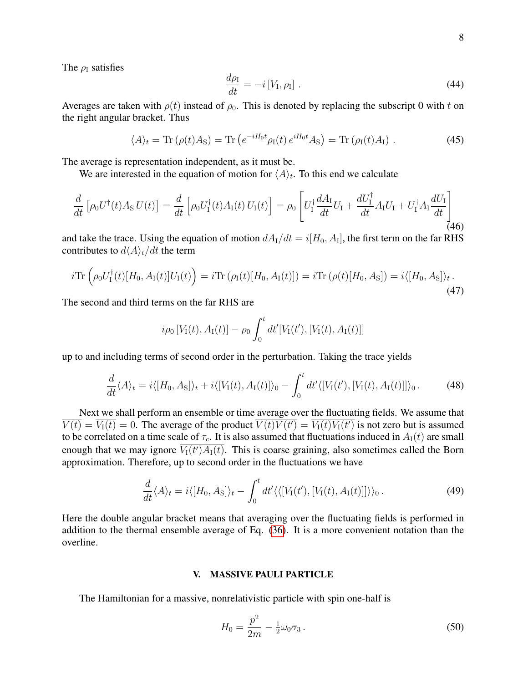The  $\rho_I$  satisfies

$$
\frac{d\rho_{\rm I}}{dt} = -i\left[V_{\rm I}, \rho_{\rm I}\right].\tag{44}
$$

Averages are taken with  $\rho(t)$  instead of  $\rho_0$ . This is denoted by replacing the subscript 0 with t on the right angular bracket. Thus

$$
\langle A \rangle_t = \text{Tr} \left( \rho(t) A_{\text{S}} \right) = \text{Tr} \left( e^{-iH_0 t} \rho_{\text{I}}(t) e^{iH_0 t} A_{\text{S}} \right) = \text{Tr} \left( \rho_{\text{I}}(t) A_{\text{I}} \right). \tag{45}
$$

The average is representation independent, as it must be.

We are interested in the equation of motion for  $\langle A \rangle_t$ . To this end we calculate

$$
\frac{d}{dt}\left[\rho_0 U^{\dagger}(t)A_{\rm S} U(t)\right] = \frac{d}{dt}\left[\rho_0 U_{\rm I}^{\dagger}(t)A_{\rm I}(t) U_{\rm I}(t)\right] = \rho_0 \left[U_{\rm I}^{\dagger} \frac{dA_{\rm I}}{dt} U_{\rm I} + \frac{dU_{\rm I}^{\dagger}}{dt} A_{\rm I} U_{\rm I} + U_{\rm I}^{\dagger} A_{\rm I} \frac{dU_{\rm I}}{dt}\right]
$$
\n(46)

and take the trace. Using the equation of motion  $dA_I/dt = i[H_0, A_I]$ , the first term on the far RHS contributes to  $d\langle A \rangle_t/dt$  the term

$$
i\text{Tr}\left(\rho_0 U_1^\dagger(t)[H_0, A_\text{I}(t)]U_\text{I}(t)\right) = i\text{Tr}\left(\rho_1(t)[H_0, A_\text{I}(t)]\right) = i\text{Tr}\left(\rho(t)[H_0, A_\text{S}]\right) = i\langle[H_0, A_\text{S}]\rangle_t\,. \tag{47}
$$

The second and third terms on the far RHS are

$$
i\rho_0[V_I(t), A_I(t)] - \rho_0 \int_0^t dt'[V_I(t'), [V_I(t), A_I(t)]]
$$

up to and including terms of second order in the perturbation. Taking the trace yields

$$
\frac{d}{dt}\langle A\rangle_t = i\langle [H_0, A_\text{S}]\rangle_t + i\langle [V_\text{I}(t), A_\text{I}(t)]\rangle_0 - \int_0^t dt'\langle [V_\text{I}(t'), [V_\text{I}(t), A_\text{I}(t)]]\rangle_0. \tag{48}
$$

Next we shall perform an ensemble or time average over the fluctuating fields. We assume that  $V(t) = V_I(t) = 0$ . The average of the product  $V(t)V(t') = V_I(t)V_I(t')$  is not zero but is assumed to be correlated on a time scale of  $\tau_c$ . It is also assumed that fluctuations induced in  $A_1(t)$  are small enough that we may ignore  $V_I(t')A_I(t)$ . This is coarse graining, also sometimes called the Born approximation. Therefore, up to second order in the fluctuations we have

$$
\frac{d}{dt}\langle A\rangle_t = i\langle [H_0, A_\text{S}]\rangle_t - \int_0^t dt'\langle\langle [V_\text{I}(t'), [V_\text{I}(t), A_\text{I}(t)]]\rangle\rangle_0.
$$
\n(49)

Here the double angular bracket means that averaging over the fluctuating fields is performed in addition to the thermal ensemble average of Eq. [\(36\)](#page-6-0). It is a more convenient notation than the overline.

### <span id="page-7-0"></span>V. MASSIVE PAULI PARTICLE

The Hamiltonian for a massive, nonrelativistic particle with spin one-half is

$$
H_0 = \frac{p^2}{2m} - \frac{1}{2}\omega_0 \sigma_3 \,. \tag{50}
$$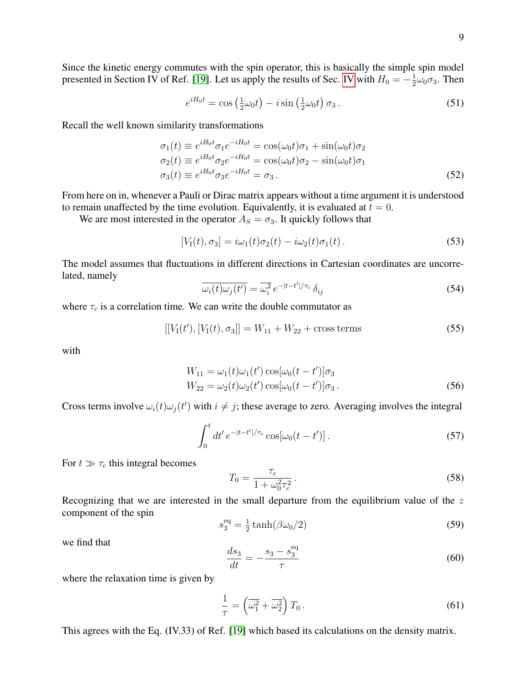Since the kinetic energy commutes with the spin operator, this is basically the simple spin model presented in Section IV of Ref. [\[19\]](#page-26-3). Let us apply the results of Sec. [IV](#page-5-0) with  $H_0 = -\frac{1}{2}$  $\frac{1}{2}\omega_0\sigma_3$ . Then

<span id="page-8-3"></span>
$$
e^{iH_0t} = \cos\left(\frac{1}{2}\omega_0t\right) - i\sin\left(\frac{1}{2}\omega_0t\right)\sigma_3. \tag{51}
$$

Recall the well known similarity transformations

$$
\sigma_1(t) \equiv e^{iH_0t}\sigma_1 e^{-iH_0t} = \cos(\omega_0 t)\sigma_1 + \sin(\omega_0 t)\sigma_2
$$
  
\n
$$
\sigma_2(t) \equiv e^{iH_0t}\sigma_2 e^{-iH_0t} = \cos(\omega_0 t)\sigma_2 - \sin(\omega_0 t)\sigma_1
$$
  
\n
$$
\sigma_3(t) \equiv e^{iH_0t}\sigma_3 e^{-iH_0t} = \sigma_3.
$$
\n(52)

From here on in, whenever a Pauli or Dirac matrix appears without a time argument it is understood to remain unaffected by the time evolution. Equivalently, it is evaluated at  $t = 0$ .

We are most interested in the operator  $A_S = \sigma_3$ . It quickly follows that

$$
[V1(t), \sigma3] = i\omega1(t)\sigma2(t) - i\omega2(t)\sigma1(t).
$$
\n(53)

The model assumes that fluctuations in different directions in Cartesian coordinates are uncorrelated, namely

$$
\overline{\omega_i(t)\omega_j(t')} = \overline{\omega_i^2} e^{-|t-t'|/\tau_c} \delta_{ij}
$$
\n(54)

where  $\tau_c$  is a correlation time. We can write the double commutator as

$$
[[V1(t'), [V1(t), \sigma3]] = W11 + W22 + cross terms
$$
\n(55)

with

$$
W_{11} = \omega_1(t)\omega_1(t')\cos[\omega_0(t - t')] \sigma_3
$$
  
\n
$$
W_{22} = \omega_2(t)\omega_2(t')\cos[\omega_0(t - t')] \sigma_3.
$$
\n(56)

Cross terms involve  $\omega_i(t)\omega_j(t')$  with  $i \neq j$ ; these average to zero. Averaging involves the integral

<span id="page-8-0"></span>
$$
\int_0^t dt' e^{-|t-t'|/\tau_c} \cos[\omega_0(t-t')] \,. \tag{57}
$$

For  $t \gg \tau_c$  this integral becomes

<span id="page-8-1"></span>
$$
T_0 = \frac{\tau_c}{1 + \omega_0^2 \tau_c^2} \,. \tag{58}
$$

Recognizing that we are interested in the small departure from the equilibrium value of the  $z$ component of the spin

$$
s_3^{\text{eq}} = \frac{1}{2} \tanh(\beta \omega_0 / 2) \tag{59}
$$

we find that

<span id="page-8-2"></span>
$$
\frac{ds_3}{dt} = -\frac{s_3 - s_3^{\text{eq}}}{\tau} \tag{60}
$$

where the relaxation time is given by

$$
\frac{1}{\tau} = \left(\overline{\omega_1^2} + \overline{\omega_2^2}\right) T_0. \tag{61}
$$

This agrees with the Eq. (IV.33) of Ref. [\[19\]](#page-26-3) which based its calculations on the density matrix.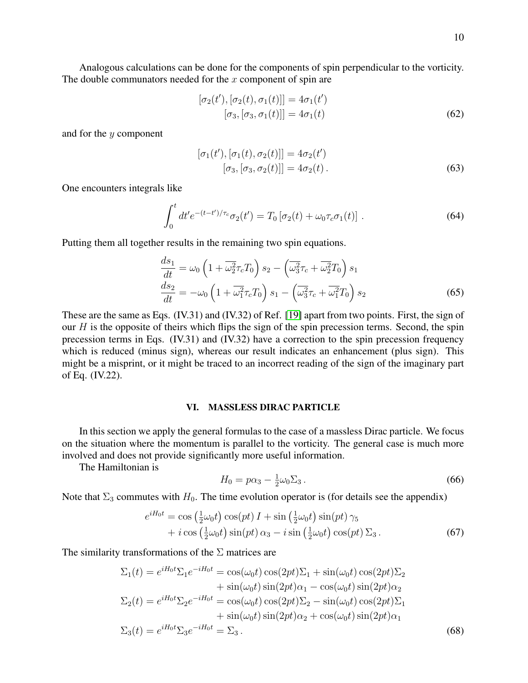Analogous calculations can be done for the components of spin perpendicular to the vorticity. The double communators needed for the  $x$  component of spin are

$$
[\sigma_2(t'), [\sigma_2(t), \sigma_1(t)]] = 4\sigma_1(t') [\sigma_3, [\sigma_3, \sigma_1(t)]] = 4\sigma_1(t)
$$
 (62)

and for the y component

$$
[\sigma_1(t'), [\sigma_1(t), \sigma_2(t)]] = 4\sigma_2(t')
$$
  

$$
[\sigma_3, [\sigma_3, \sigma_2(t)]] = 4\sigma_2(t).
$$
 (63)

One encounters integrals like

$$
\int_0^t dt' e^{-(t-t')/\tau_c} \sigma_2(t') = T_0 \left[ \sigma_2(t) + \omega_0 \tau_c \sigma_1(t) \right]. \tag{64}
$$

Putting them all together results in the remaining two spin equations.

$$
\frac{ds_1}{dt} = \omega_0 \left( 1 + \overline{\omega_2^2} \tau_c T_0 \right) s_2 - \left( \overline{\omega_3^2} \tau_c + \overline{\omega_2^2} T_0 \right) s_1
$$
\n
$$
\frac{ds_2}{dt} = -\omega_0 \left( 1 + \overline{\omega_1^2} \tau_c T_0 \right) s_1 - \left( \overline{\omega_3^2} \tau_c + \overline{\omega_1^2} T_0 \right) s_2
$$
\n(65)

These are the same as Eqs. (IV.31) and (IV.32) of Ref. [\[19\]](#page-26-3) apart from two points. First, the sign of our  $H$  is the opposite of theirs which flips the sign of the spin precession terms. Second, the spin precession terms in Eqs. (IV.31) and (IV.32) have a correction to the spin precession frequency which is reduced (minus sign), whereas our result indicates an enhancement (plus sign). This might be a misprint, or it might be traced to an incorrect reading of the sign of the imaginary part of Eq. (IV.22).

### <span id="page-9-0"></span>VI. MASSLESS DIRAC PARTICLE

In this section we apply the general formulas to the case of a massless Dirac particle. We focus on the situation where the momentum is parallel to the vorticity. The general case is much more involved and does not provide significantly more useful information.

The Hamiltonian is

$$
H_0 = p\alpha_3 - \frac{1}{2}\omega_0 \Sigma_3. \tag{66}
$$

Note that  $\Sigma_3$  commutes with  $H_0$ . The time evolution operator is (for details see the appendix)

$$
e^{iH_0t} = \cos\left(\frac{1}{2}\omega_0t\right)\cos(pt) I + \sin\left(\frac{1}{2}\omega_0t\right)\sin(pt) \gamma_5 + i\cos\left(\frac{1}{2}\omega_0t\right)\sin(pt) \alpha_3 - i\sin\left(\frac{1}{2}\omega_0t\right)\cos(pt) \Sigma_3.
$$
 (67)

The similarity transformations of the  $\Sigma$  matrices are

$$
\Sigma_1(t) = e^{iH_0t} \Sigma_1 e^{-iH_0t} = \cos(\omega_0 t) \cos(2pt) \Sigma_1 + \sin(\omega_0 t) \cos(2pt) \Sigma_2
$$
  
\n
$$
+ \sin(\omega_0 t) \sin(2pt) \alpha_1 - \cos(\omega_0 t) \sin(2pt) \alpha_2
$$
  
\n
$$
\Sigma_2(t) = e^{iH_0t} \Sigma_2 e^{-iH_0t} = \cos(\omega_0 t) \cos(2pt) \Sigma_2 - \sin(\omega_0 t) \cos(2pt) \Sigma_1
$$
  
\n
$$
+ \sin(\omega_0 t) \sin(2pt) \alpha_2 + \cos(\omega_0 t) \sin(2pt) \alpha_1
$$
  
\n
$$
\Sigma_3(t) = e^{iH_0t} \Sigma_3 e^{-iH_0t} = \Sigma_3.
$$
 (68)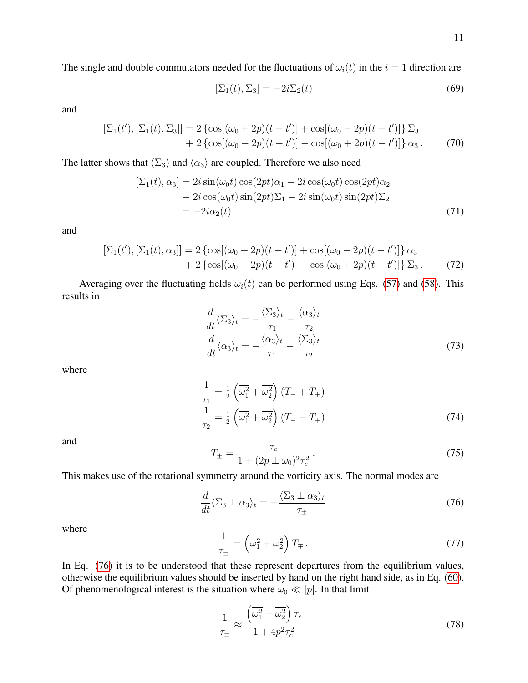The single and double commutators needed for the fluctuations of  $\omega_i(t)$  in the  $i = 1$  direction are

$$
[\Sigma_1(t), \Sigma_3] = -2i\Sigma_2(t) \tag{69}
$$

and

$$
\left[\Sigma_1(t'), \left[\Sigma_1(t), \Sigma_3\right]\right] = 2 \left\{ \cos[(\omega_0 + 2p)(t - t')] + \cos[(\omega_0 - 2p)(t - t')] \right\} \Sigma_3 + 2 \left\{ \cos[(\omega_0 - 2p)(t - t')] - \cos[(\omega_0 + 2p)(t - t')] \right\} \alpha_3. \tag{70}
$$

The latter shows that  $\langle \Sigma_3 \rangle$  and  $\langle \alpha_3 \rangle$  are coupled. Therefore we also need

$$
[\Sigma_1(t), \alpha_3] = 2i \sin(\omega_0 t) \cos(2pt)\alpha_1 - 2i \cos(\omega_0 t) \cos(2pt)\alpha_2 - 2i \cos(\omega_0 t) \sin(2pt)\Sigma_1 - 2i \sin(\omega_0 t) \sin(2pt)\Sigma_2 = -2i\alpha_2(t)
$$
\n(71)

and

$$
\begin{aligned} \left[\Sigma_1(t'), \left[\Sigma_1(t), \alpha_3\right]\right] &= 2\left\{\cos[(\omega_0 + 2p)(t - t')] + \cos[(\omega_0 - 2p)(t - t')] \right\} \alpha_3 \\ &+ 2\left\{\cos[(\omega_0 - 2p)(t - t')] - \cos[(\omega_0 + 2p)(t - t')] \right\} \Sigma_3. \end{aligned} \tag{72}
$$

Averaging over the fluctuating fields  $\omega_i(t)$  can be performed using Eqs. [\(57\)](#page-8-0) and [\(58\)](#page-8-1). This results in

$$
\frac{d}{dt}\langle\Sigma_3\rangle_t = -\frac{\langle\Sigma_3\rangle_t}{\tau_1} - \frac{\langle\alpha_3\rangle_t}{\tau_2} \n\frac{d}{dt}\langle\alpha_3\rangle_t = -\frac{\langle\alpha_3\rangle_t}{\tau_1} - \frac{\langle\Sigma_3\rangle_t}{\tau_2}
$$
\n(73)

where

$$
\frac{1}{\tau_1} = \frac{1}{2} \left( \overline{\omega_1^2} + \overline{\omega_2^2} \right) (T_- + T_+)
$$
  

$$
\frac{1}{\tau_2} = \frac{1}{2} \left( \overline{\omega_1^2} + \overline{\omega_2^2} \right) (T_- - T_+)
$$
 (74)

and

$$
T_{\pm} = \frac{\tau_c}{1 + (2p \pm \omega_0)^2 \tau_c^2} \,. \tag{75}
$$

This makes use of the rotational symmetry around the vorticity axis. The normal modes are

<span id="page-10-0"></span>
$$
\frac{d}{dt}\langle\Sigma_3\pm\alpha_3\rangle_t=-\frac{\langle\Sigma_3\pm\alpha_3\rangle_t}{\tau_\pm}
$$
\n(76)

where

$$
\frac{1}{\tau_{\pm}} = \left(\overline{\omega_1^2} + \overline{\omega_2^2}\right) T_{\mp} \,. \tag{77}
$$

In Eq. [\(76\)](#page-10-0) it is to be understood that these represent departures from the equilibrium values, otherwise the equilibrium values should be inserted by hand on the right hand side, as in Eq. [\(60\)](#page-8-2). Of phenomenological interest is the situation where  $\omega_0 \ll |p|$ . In that limit

$$
\frac{1}{\tau_{\pm}} \approx \frac{\left(\overline{\omega_1^2} + \overline{\omega_2^2}\right) \tau_c}{1 + 4p^2 \tau_c^2} \,. \tag{78}
$$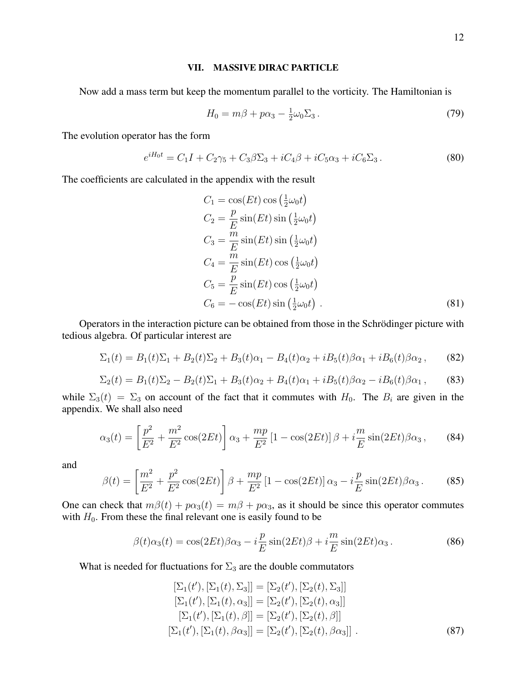### <span id="page-11-0"></span>VII. MASSIVE DIRAC PARTICLE

Now add a mass term but keep the momentum parallel to the vorticity. The Hamiltonian is

$$
H_0 = m\beta + p\alpha_3 - \frac{1}{2}\omega_0 \Sigma_3. \tag{79}
$$

The evolution operator has the form

$$
e^{iH_0t} = C_1I + C_2\gamma_5 + C_3\beta\Sigma_3 + iC_4\beta + iC_5\alpha_3 + iC_6\Sigma_3.
$$
 (80)

The coefficients are calculated in the appendix with the result

<span id="page-11-1"></span>
$$
C_1 = \cos(Et)\cos\left(\frac{1}{2}\omega_0 t\right)
$$
  
\n
$$
C_2 = \frac{p}{E}\sin(Et)\sin\left(\frac{1}{2}\omega_0 t\right)
$$
  
\n
$$
C_3 = \frac{m}{E}\sin(Et)\sin\left(\frac{1}{2}\omega_0 t\right)
$$
  
\n
$$
C_4 = \frac{m}{E}\sin(Et)\cos\left(\frac{1}{2}\omega_0 t\right)
$$
  
\n
$$
C_5 = \frac{p}{E}\sin(Et)\cos\left(\frac{1}{2}\omega_0 t\right)
$$
  
\n
$$
C_6 = -\cos(Et)\sin\left(\frac{1}{2}\omega_0 t\right)
$$
 (81)

Operators in the interaction picture can be obtained from those in the Schrödinger picture with tedious algebra. Of particular interest are

$$
\Sigma_1(t) = B_1(t)\Sigma_1 + B_2(t)\Sigma_2 + B_3(t)\alpha_1 - B_4(t)\alpha_2 + iB_5(t)\beta\alpha_1 + iB_6(t)\beta\alpha_2, \qquad (82)
$$

$$
\Sigma_2(t) = B_1(t)\Sigma_2 - B_2(t)\Sigma_1 + B_3(t)\alpha_2 + B_4(t)\alpha_1 + iB_5(t)\beta_2 - iB_6(t)\beta_2,
$$
 (83)

while  $\Sigma_3(t) = \Sigma_3$  on account of the fact that it commutes with  $H_0$ . The  $B_i$  are given in the appendix. We shall also need

$$
\alpha_3(t) = \left[\frac{p^2}{E^2} + \frac{m^2}{E^2}\cos(2Et)\right]\alpha_3 + \frac{mp}{E^2}\left[1 - \cos(2Et)\right]\beta + i\frac{m}{E}\sin(2Et)\beta\alpha_3\,,\tag{84}
$$

and

$$
\beta(t) = \left[\frac{m^2}{E^2} + \frac{p^2}{E^2}\cos(2Et)\right]\beta + \frac{mp}{E^2}\left[1 - \cos(2Et)\right]\alpha_3 - i\frac{p}{E}\sin(2Et)\beta\alpha_3. \tag{85}
$$

One can check that  $m\beta(t) + p\alpha_3(t) = m\beta + p\alpha_3$ , as it should be since this operator commutes with  $H_0$ . From these the final relevant one is easily found to be

$$
\beta(t)\alpha_3(t) = \cos(2Et)\beta\alpha_3 - i\frac{p}{E}\sin(2Et)\beta + i\frac{m}{E}\sin(2Et)\alpha_3.
$$
 (86)

What is needed for fluctuations for  $\Sigma_3$  are the double commutators

$$
[\Sigma_1(t'), [\Sigma_1(t), \Sigma_3]] = [\Sigma_2(t'), [\Sigma_2(t), \Sigma_3]][\Sigma_1(t'), [\Sigma_1(t), \alpha_3]] = [\Sigma_2(t'), [\Sigma_2(t), \alpha_3]][\Sigma_1(t'), [\Sigma_1(t), \beta]] = [\Sigma_2(t'), [\Sigma_2(t), \beta]][\Sigma_1(t'), [\Sigma_1(t), \beta \alpha_3]] = [\Sigma_2(t'), [\Sigma_2(t), \beta \alpha_3]] .
$$
(87)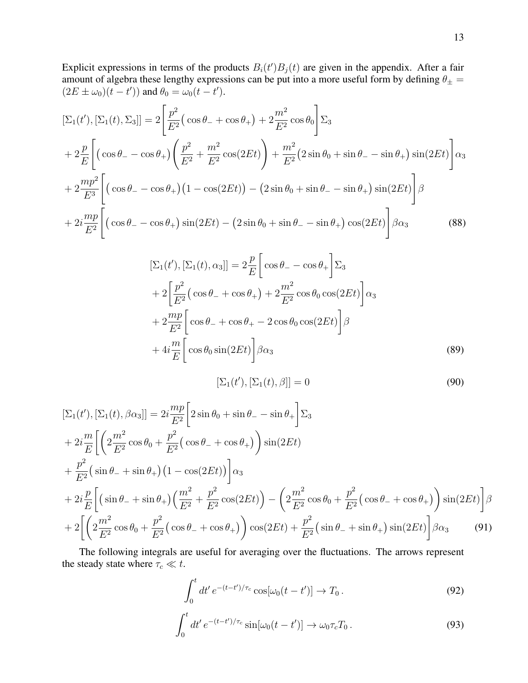Explicit expressions in terms of the products  $B_i(t')B_j(t)$  are given in the appendix. After a fair amount of algebra these lengthy expressions can be put into a more useful form by defining  $\theta_{\pm} =$  $(2E \pm \omega_0)(t - t')$  and  $\theta_0 = \omega_0(t - t')$ .

$$
[\Sigma_{1}(t'), [\Sigma_{1}(t), \Sigma_{3}]] = 2\left[\frac{p^{2}}{E^{2}}(\cos\theta_{-} + \cos\theta_{+}) + 2\frac{m^{2}}{E^{2}}\cos\theta_{0}\right]\Sigma_{3}
$$
  
+  $2\frac{p}{E}\left[\left(\cos\theta_{-} - \cos\theta_{+}\right)\left(\frac{p^{2}}{E^{2}} + \frac{m^{2}}{E^{2}}\cos(2Et)\right) + \frac{m^{2}}{E^{2}}(2\sin\theta_{0} + \sin\theta_{-} - \sin\theta_{+})\sin(2Et)\right]\alpha_{3}$   
+  $2\frac{mp^{2}}{E^{3}}\left[\left(\cos\theta_{-} - \cos\theta_{+}\right)\left(1 - \cos(2Et)\right) - \left(2\sin\theta_{0} + \sin\theta_{-} - \sin\theta_{+}\right)\sin(2Et)\right]\beta$   
+  $2i\frac{mp}{E^{2}}\left[\left(\cos\theta_{-} - \cos\theta_{+}\right)\sin(2Et) - \left(2\sin\theta_{0} + \sin\theta_{-} - \sin\theta_{+}\right)\cos(2Et)\right]\beta\alpha_{3}$  (88)

$$
[\Sigma_1(t'), [\Sigma_1(t), \alpha_3]] = 2\frac{p}{E} \left[ \cos \theta_- - \cos \theta_+ \right] \Sigma_3
$$
  
+ 
$$
2\left[ \frac{p^2}{E^2} \left( \cos \theta_- + \cos \theta_+ \right) + 2\frac{m^2}{E^2} \cos \theta_0 \cos(2Et) \right] \alpha_3
$$
  
+ 
$$
2\frac{mp}{E^2} \left[ \cos \theta_- + \cos \theta_+ - 2\cos \theta_0 \cos(2Et) \right] \beta
$$
  
+ 
$$
4i\frac{m}{E} \left[ \cos \theta_0 \sin(2Et) \right] \beta \alpha_3
$$
 (89)

$$
[\Sigma_1(t'), [\Sigma_1(t), \beta]] = 0 \tag{90}
$$

$$
[\Sigma_{1}(t'), [\Sigma_{1}(t), \beta \alpha_{3}]] = 2i \frac{mp}{E^{2}} \Big[ 2 \sin \theta_{0} + \sin \theta_{-} - \sin \theta_{+} \Big] \Sigma_{3} + 2i \frac{m}{E} \Big[ \Big( 2 \frac{m^{2}}{E^{2}} \cos \theta_{0} + \frac{p^{2}}{E^{2}} (\cos \theta_{-} + \cos \theta_{+}) \Big) \sin(2Et) + \frac{p^{2}}{E^{2}} (\sin \theta_{-} + \sin \theta_{+}) (1 - \cos(2Et)) \Big] \alpha_{3} + 2i \frac{p}{E} \Big[ (\sin \theta_{-} + \sin \theta_{+}) \Big( \frac{m^{2}}{E^{2}} + \frac{p^{2}}{E^{2}} \cos(2Et) \Big) - \Big( 2 \frac{m^{2}}{E^{2}} \cos \theta_{0} + \frac{p^{2}}{E^{2}} (\cos \theta_{-} + \cos \theta_{+}) \Big) \sin(2Et) \Big] \beta + 2 \Big[ \Big( 2 \frac{m^{2}}{E^{2}} \cos \theta_{0} + \frac{p^{2}}{E^{2}} (\cos \theta_{-} + \cos \theta_{+}) \Big) \cos(2Et) + \frac{p^{2}}{E^{2}} (\sin \theta_{-} + \sin \theta_{+}) \sin(2Et) \Big] \beta \alpha_{3}
$$
(91)

The following integrals are useful for averaging over the fluctuations. The arrows represent the steady state where  $\tau_c \ll t$ .

$$
\int_0^t dt' e^{-(t-t')/\tau_c} \cos[\omega_0(t-t')] \to T_0.
$$
\n(92)

$$
\int_0^t dt' e^{-(t-t')/\tau_c} \sin[\omega_0(t-t')] \to \omega_0 \tau_c T_0.
$$
\n(93)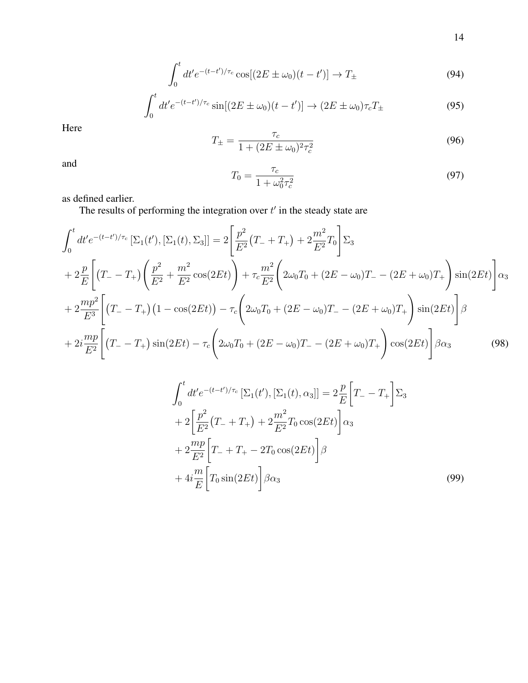$$
\int_0^t dt' e^{-(t-t')/\tau_c} \cos[(2E \pm \omega_0)(t-t')] \to T_{\pm}
$$
\n(94)

$$
\int_0^t dt' e^{-(t-t')/\tau_c} \sin[(2E \pm \omega_0)(t-t')] \rightarrow (2E \pm \omega_0)\tau_c T_{\pm}
$$
\n(95)

Here

$$
T_{\pm} = \frac{\tau_c}{1 + (2E \pm \omega_0)^2 \tau_c^2}
$$
(96)

and

$$
T_0 = \frac{\tau_c}{1 + \omega_0^2 \tau_c^2}
$$
\n(97)

as defined earlier.

The results of performing the integration over  $t'$  in the steady state are

$$
\int_{0}^{t} dt' e^{-(t-t')/\tau_{c}} \left[\Sigma_{1}(t'), \left[\Sigma_{1}(t), \Sigma_{3}\right]\right] = 2 \left[\frac{p^{2}}{E^{2}}(T_{-} + T_{+}) + 2\frac{m^{2}}{E^{2}}T_{0}\right] \Sigma_{3}
$$
\n
$$
+ 2\frac{p}{E} \left[ (T_{-} - T_{+}) \left(\frac{p^{2}}{E^{2}} + \frac{m^{2}}{E^{2}}\cos(2Et)\right) + \tau_{c} \frac{m^{2}}{E^{2}} \left(2\omega_{0}T_{0} + (2E - \omega_{0})T_{-} - (2E + \omega_{0})T_{+}\right) \sin(2Et)\right] \alpha_{3}
$$
\n
$$
+ 2\frac{mp^{2}}{E^{3}} \left[ (T_{-} - T_{+}) \left(1 - \cos(2Et)\right) - \tau_{c} \left(2\omega_{0}T_{0} + (2E - \omega_{0})T_{-} - (2E + \omega_{0})T_{+}\right) \sin(2Et)\right] \beta
$$
\n
$$
+ 2i\frac{mp}{E^{2}} \left[ (T_{-} - T_{+}) \sin(2Et) - \tau_{c} \left(2\omega_{0}T_{0} + (2E - \omega_{0})T_{-} - (2E + \omega_{0})T_{+}\right) \cos(2Et)\right] \beta \alpha_{3}
$$
\n(98)

$$
\int_{0}^{t} dt' e^{-(t-t')/\tau_{c}} \left[\Sigma_{1}(t'), \left[\Sigma_{1}(t), \alpha_{3}\right]\right] = 2\frac{p}{E} \left[T_{-} - T_{+}\right] \Sigma_{3}
$$
  
+ 
$$
2\left[\frac{p^{2}}{E^{2}}(T_{-} + T_{+}) + 2\frac{m^{2}}{E^{2}}T_{0} \cos(2Et)\right] \alpha_{3}
$$
  
+ 
$$
2\frac{mp}{E^{2}} \left[T_{-} + T_{+} - 2T_{0} \cos(2Et)\right] \beta
$$
  
+ 
$$
4i\frac{m}{E} \left[T_{0} \sin(2Et)\right] \beta \alpha_{3}
$$
 (99)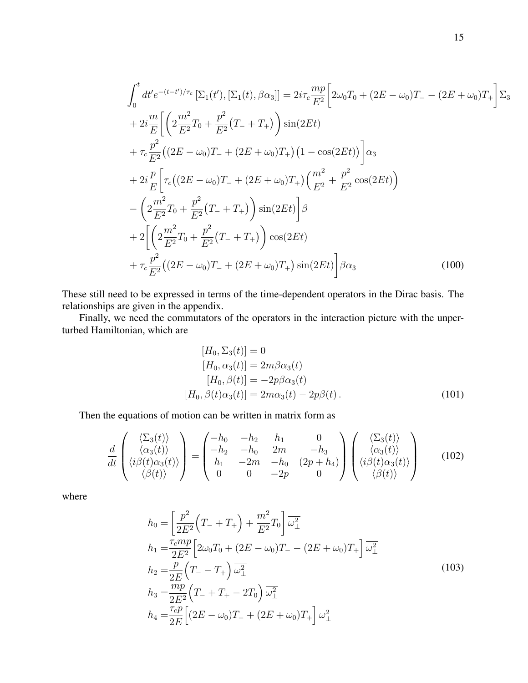$$
\int_{0}^{t} dt' e^{-(t-t')/\tau_{c}} \left[\Sigma_{1}(t'), \left[\Sigma_{1}(t), \beta \alpha_{3}\right]\right] = 2i\tau_{c} \frac{mp}{E^{2}} \left[2\omega_{0}T_{0} + (2E - \omega_{0})T_{-} - (2E + \omega_{0})T_{+}\right] \Sigma_{3}
$$
  
+  $2i \frac{m}{E} \left[\left(2\frac{m^{2}}{E^{2}}T_{0} + \frac{p^{2}}{E^{2}}(T_{-} + T_{+})\right) \sin(2Et)\right]$   
+  $\tau_{c} \frac{p^{2}}{E^{2}} \left((2E - \omega_{0})T_{-} + (2E + \omega_{0})T_{+}\right)\left(1 - \cos(2Et)\right)\right] \alpha_{3}$   
+  $2i \frac{p}{E} \left[\tau_{c}\left((2E - \omega_{0})T_{-} + (2E + \omega_{0})T_{+}\right)\left(\frac{m^{2}}{E^{2}} + \frac{p^{2}}{E^{2}}\cos(2Et)\right)\right]$   
-  $\left(2\frac{m^{2}}{E^{2}}T_{0} + \frac{p^{2}}{E^{2}}(T_{-} + T_{+})\right) \sin(2Et) \left[\beta$   
+  $2\left[\left(2\frac{m^{2}}{E^{2}}T_{0} + \frac{p^{2}}{E^{2}}(T_{-} + T_{+})\right)\cos(2Et)\right]$   
+  $\tau_{c} \frac{p^{2}}{E^{2}} \left((2E - \omega_{0})T_{-} + (2E + \omega_{0})T_{+}\right) \sin(2Et)\right] \beta \alpha_{3}$  (100)

These still need to be expressed in terms of the time-dependent operators in the Dirac basis. The relationships are given in the appendix.

Finally, we need the commutators of the operators in the interaction picture with the unperturbed Hamiltonian, which are

$$
[H_0, \Sigma_3(t)] = 0
$$
  
\n
$$
[H_0, \alpha_3(t)] = 2m\beta\alpha_3(t)
$$
  
\n
$$
[H_0, \beta(t)] = -2p\beta\alpha_3(t)
$$
  
\n
$$
[H_0, \beta(t)\alpha_3(t)] = 2m\alpha_3(t) - 2p\beta(t).
$$
\n(101)

Then the equations of motion can be written in matrix form as

$$
\frac{d}{dt}\begin{pmatrix}\langle\Sigma_3(t)\rangle\\\langle\alpha_3(t)\rangle\\\langle i\beta(t)\alpha_3(t)\rangle\\\langle\beta(t)\rangle\end{pmatrix} = \begin{pmatrix}-h_0 & -h_2 & h_1 & 0\\-h_2 & -h_0 & 2m & -h_3\\h_1 & -2m & -h_0 & (2p+h_4)\\0 & 0 & -2p & 0\end{pmatrix} \begin{pmatrix}\langle\Sigma_3(t)\rangle\\\langle\alpha_3(t)\rangle\\\langle i\beta(t)\alpha_3(t)\rangle\\\langle\beta(t)\rangle\end{pmatrix}
$$
(102)

where

$$
h_0 = \left[\frac{p^2}{2E^2}\left(T_- + T_+\right) + \frac{m^2}{E^2}T_0\right]\overline{\omega_{\perp}^2}
$$
  
\n
$$
h_1 = \frac{\tau_c m p}{2E^2}\left[2\omega_0 T_0 + (2E - \omega_0)T_- - (2E + \omega_0)T_+\right]\overline{\omega_{\perp}^2}
$$
  
\n
$$
h_2 = \frac{p}{2E}\left(T_- - T_+\right)\overline{\omega_{\perp}^2}
$$
  
\n
$$
h_3 = \frac{mp}{2E^2}\left(T_- + T_+ - 2T_0\right)\overline{\omega_{\perp}^2}
$$
  
\n
$$
h_4 = \frac{\tau_c p}{2E}\left[(2E - \omega_0)T_- + (2E + \omega_0)T_+\right]\overline{\omega_{\perp}^2}
$$
\n(103)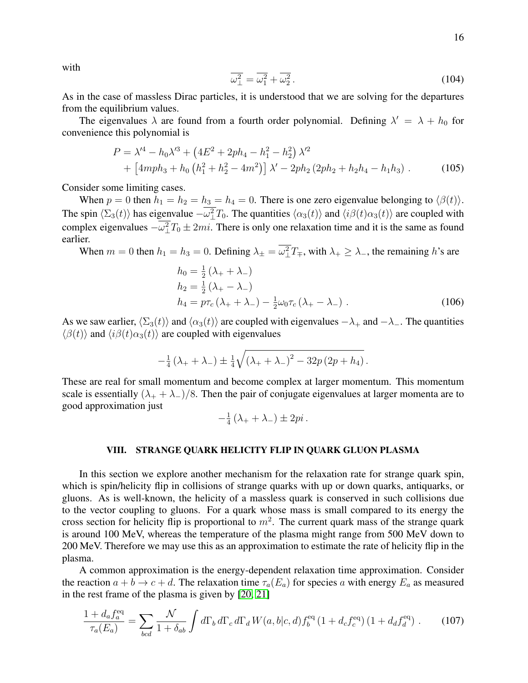$$
\overline{\omega_{\perp}^2} = \overline{\omega_1^2} + \overline{\omega_2^2} \,. \tag{104}
$$

As in the case of massless Dirac particles, it is understood that we are solving for the departures from the equilibrium values.

The eigenvalues  $\lambda$  are found from a fourth order polynomial. Defining  $\lambda' = \lambda + h_0$  for convenience this polynomial is

$$
P = \lambda'^4 - h_0 \lambda'^3 + \left(4E^2 + 2ph_4 - h_1^2 - h_2^2\right) \lambda'^2
$$
  
+ 
$$
\left[4mph_3 + h_0 \left(h_1^2 + h_2^2 - 4m^2\right)\right] \lambda' - 2ph_2 \left(2ph_2 + h_2h_4 - h_1h_3\right).
$$
 (105)

Consider some limiting cases.

When  $p = 0$  then  $h_1 = h_2 = h_3 = h_4 = 0$ . There is one zero eigenvalue belonging to  $\langle \beta(t) \rangle$ . The spin  $\langle \Sigma_3(t) \rangle$  has eigenvalue  $-\omega_\perp^2 T_0$ . The quantities  $\langle \alpha_3(t) \rangle$  and  $\langle i\beta(t)\alpha_3(t) \rangle$  are coupled with complex eigenvalues  $-\omega_{\perp}^2 T_0 \pm 2mi$ . There is only one relaxation time and it is the same as found earlier.

When  $m = 0$  then  $h_1 = h_3 = 0$ . Defining  $\lambda_{\pm} = \omega_{\pm}^2 T_{\mp}$ , with  $\lambda_{+} \ge \lambda_{-}$ , the remaining h's are

$$
h_0 = \frac{1}{2} (\lambda_+ + \lambda_-)
$$
  
\n
$$
h_2 = \frac{1}{2} (\lambda_+ - \lambda_-)
$$
  
\n
$$
h_4 = p\tau_c (\lambda_+ + \lambda_-) - \frac{1}{2} \omega_0 \tau_c (\lambda_+ - \lambda_-) .
$$
\n(106)

As we saw earlier,  $\langle \Sigma_3(t) \rangle$  and  $\langle \alpha_3(t) \rangle$  are coupled with eigenvalues  $-\lambda_+$  and  $-\lambda_-$ . The quantities  $\langle \beta(t) \rangle$  and  $\langle i\beta(t)\alpha_3(t)\rangle$  are coupled with eigenvalues

$$
-\frac{1}{4}(\lambda_{+}+\lambda_{-})\pm\frac{1}{4}\sqrt{(\lambda_{+}+\lambda_{-})^{2}-32p(2p+h_{4})}.
$$

These are real for small momentum and become complex at larger momentum. This momentum scale is essentially  $(\lambda_+ + \lambda_-)/8$ . Then the pair of conjugate eigenvalues at larger momenta are to good approximation just

$$
-\frac{1}{4}(\lambda_+ + \lambda_-) \pm 2pi.
$$

### <span id="page-15-0"></span>VIII. STRANGE QUARK HELICITY FLIP IN QUARK GLUON PLASMA

In this section we explore another mechanism for the relaxation rate for strange quark spin, which is spin/helicity flip in collisions of strange quarks with up or down quarks, antiquarks, or gluons. As is well-known, the helicity of a massless quark is conserved in such collisions due to the vector coupling to gluons. For a quark whose mass is small compared to its energy the cross section for helicity flip is proportional to  $m^2$ . The current quark mass of the strange quark is around 100 MeV, whereas the temperature of the plasma might range from 500 MeV down to 200 MeV. Therefore we may use this as an approximation to estimate the rate of helicity flip in the plasma.

A common approximation is the energy-dependent relaxation time approximation. Consider the reaction  $a + b \rightarrow c + d$ . The relaxation time  $\tau_a(E_a)$  for species a with energy  $E_a$  as measured in the rest frame of the plasma is given by [\[20,](#page-26-4) [21\]](#page-26-5)

<span id="page-15-1"></span>
$$
\frac{1 + d_a f_a^{\text{eq}}}{\tau_a(E_a)} = \sum_{bcd} \frac{\mathcal{N}}{1 + \delta_{ab}} \int d\Gamma_b d\Gamma_c d\Gamma_d W(a, b|c, d) f_b^{\text{eq}} (1 + d_c f_c^{\text{eq}}) (1 + d_d f_d^{\text{eq}}) \,. \tag{107}
$$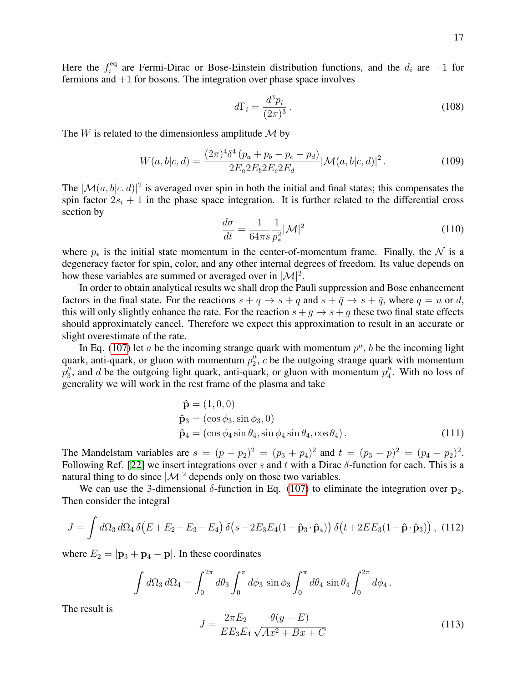Here the  $f_i^{\text{eq}}$ <sup>ieq</sup> are Fermi-Dirac or Bose-Einstein distribution functions, and the  $d_i$  are  $-1$  for fermions and  $+1$  for bosons. The integration over phase space involves

$$
d\Gamma_i = \frac{d^3 p_i}{(2\pi)^3} \,. \tag{108}
$$

The  $W$  is related to the dimensionless amplitude  $\mathcal M$  by

$$
W(a,b|c,d) = \frac{(2\pi)^4 \delta^4 (p_a + p_b - p_c - p_d)}{2E_a 2E_b 2E_c 2E_d} |\mathcal{M}(a,b|c,d)|^2.
$$
 (109)

The  $|\mathcal{M}(a, b|c, d)|^2$  is averaged over spin in both the initial and final states; this compensates the spin factor  $2s_i + 1$  in the phase space integration. It is further related to the differential cross section by

$$
\frac{d\sigma}{dt} = \frac{1}{64\pi s} \frac{1}{p_*^2} |\mathcal{M}|^2 \tag{110}
$$

where  $p_*$  is the initial state momentum in the center-of-momentum frame. Finally, the  $\mathcal N$  is a degeneracy factor for spin, color, and any other internal degrees of freedom. Its value depends on how these variables are summed or averaged over in  $\vert \mathcal{M} \vert^2$ .

In order to obtain analytical results we shall drop the Pauli suppression and Bose enhancement factors in the final state. For the reactions  $s + q \rightarrow s + q$  and  $s + \bar{q} \rightarrow s + \bar{q}$ , where  $q = u$  or d, this will only slightly enhance the rate. For the reaction  $s + g \rightarrow s + g$  these two final state effects should approximately cancel. Therefore we expect this approximation to result in an accurate or slight overestimate of the rate.

In Eq. [\(107\)](#page-15-1) let a be the incoming strange quark with momentum  $p^{\mu}$ , b be the incoming light quark, anti-quark, or gluon with momentum  $p_2^{\mu}$  $x_2^{\mu}$ , c be the outgoing strange quark with momentum  $\tilde{p}^{\mu}_3$  $\frac{\mu}{3}$ , and d be the outgoing light quark, anti-quark, or gluon with momentum  $p_4^{\mu}$  $\frac{\mu}{4}$ . With no loss of generality we will work in the rest frame of the plasma and take

$$
\hat{\mathbf{p}} = (1, 0, 0) \n\hat{\mathbf{p}}_3 = (\cos \phi_3, \sin \phi_3, 0) \n\hat{\mathbf{p}}_4 = (\cos \phi_4 \sin \theta_4, \sin \phi_4 \sin \theta_4, \cos \theta_4).
$$
\n(111)

The Mandelstam variables are  $s = (p + p_2)^2 = (p_3 + p_4)^2$  and  $t = (p_3 - p)^2 = (p_4 - p_2)^2$ . Following Ref. [\[22\]](#page-26-6) we insert integrations over s and t with a Dirac  $\delta$ -function for each. This is a natural thing to do since  $|\mathcal{M}|^2$  depends only on those two variables.

We can use the 3-dimensional  $\delta$ -function in Eq. [\(107\)](#page-15-1) to eliminate the integration over  $p_2$ . Then consider the integral

$$
J = \int d\Omega_3 d\Omega_4 \, \delta \left( E + E_2 - E_3 - E_4 \right) \delta \left( s - 2E_3 E_4 (1 - \hat{\mathbf{p}}_3 \cdot \hat{\mathbf{p}}_4) \right) \delta \left( t + 2E E_3 (1 - \hat{\mathbf{p}} \cdot \hat{\mathbf{p}}_3) \right), \tag{112}
$$

where  $E_2 = |\mathbf{p}_3 + \mathbf{p}_4 - \mathbf{p}|$ . In these coordinates

$$
\int d\Omega_3 d\Omega_4 = \int_0^{2\pi} d\theta_3 \int_0^{\pi} d\phi_3 \sin \phi_3 \int_0^{\pi} d\theta_4 \sin \theta_4 \int_0^{2\pi} d\phi_4.
$$

The result is

$$
J = \frac{2\pi E_2}{E E_3 E_4} \frac{\theta(y - E)}{\sqrt{Ax^2 + Bx + C}}
$$
(113)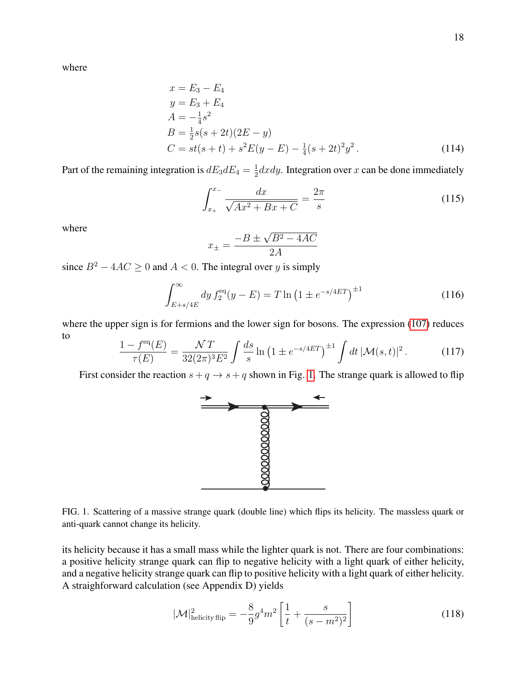where

$$
x = E_3 - E_4
$$
  
\n
$$
y = E_3 + E_4
$$
  
\n
$$
A = -\frac{1}{4}s^2
$$
  
\n
$$
B = \frac{1}{2}s(s + 2t)(2E - y)
$$
  
\n
$$
C = st(s + t) + s^2 E(y - E) - \frac{1}{4}(s + 2t)^2 y^2.
$$
\n(114)

Part of the remaining integration is  $dE_3dE_4 = \frac{1}{2}$  $\frac{1}{2}dxdy$ . Integration over x can be done immediately

$$
\int_{x_{+}}^{x_{-}} \frac{dx}{\sqrt{Ax^{2} + Bx + C}} = \frac{2\pi}{s}
$$
\n(115)

where

$$
x_{\pm} = \frac{-B \pm \sqrt{B^2 - 4AC}}{2A}
$$

since  $B^2 - 4AC \ge 0$  and  $A < 0$ . The integral over y is simply

$$
\int_{E+s/4E}^{\infty} dy f_2^{\text{eq}}(y - E) = T \ln \left( 1 \pm e^{-s/4ET} \right)^{\pm 1}
$$
 (116)

where the upper sign is for fermions and the lower sign for bosons. The expression [\(107\)](#page-15-1) reduces to

$$
\frac{1 - f^{\text{eq}}(E)}{\tau(E)} = \frac{\mathcal{N}T}{32(2\pi)^3 E^2} \int \frac{ds}{s} \ln\left(1 \pm e^{-s/4ET}\right)^{\pm 1} \int dt \, |\mathcal{M}(s,t)|^2 \,. \tag{117}
$$

First consider the reaction  $s + q \rightarrow s + q$  shown in Fig. [1.](#page-17-0) The strange quark is allowed to flip



<span id="page-17-0"></span>FIG. 1. Scattering of a massive strange quark (double line) which flips its helicity. The massless quark or anti-quark cannot change its helicity.

its helicity because it has a small mass while the lighter quark is not. There are four combinations: a positive helicity strange quark can flip to negative helicity with a light quark of either helicity, and a negative helicity strange quark can flip to positive helicity with a light quark of either helicity. A straighforward calculation (see Appendix D) yields

<span id="page-17-1"></span>
$$
|\mathcal{M}|_{\text{helicity flip}}^2 = -\frac{8}{9}g^4m^2 \left[ \frac{1}{t} + \frac{s}{(s-m^2)^2} \right]
$$
 (118)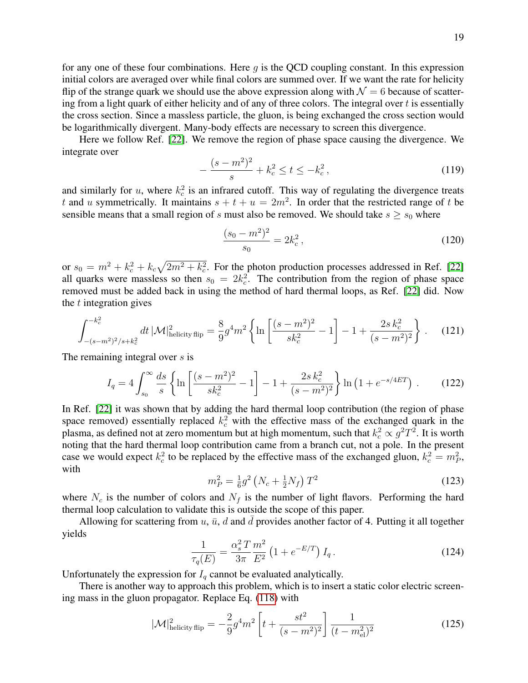for any one of these four combinations. Here  $q$  is the OCD coupling constant. In this expression initial colors are averaged over while final colors are summed over. If we want the rate for helicity flip of the strange quark we should use the above expression along with  $\mathcal{N} = 6$  because of scattering from a light quark of either helicity and of any of three colors. The integral over  $t$  is essentially the cross section. Since a massless particle, the gluon, is being exchanged the cross section would be logarithmically divergent. Many-body effects are necessary to screen this divergence.

Here we follow Ref. [\[22\]](#page-26-6). We remove the region of phase space causing the divergence. We integrate over

$$
-\frac{(s-m^2)^2}{s} + k_c^2 \le t \le -k_c^2,
$$
\n(119)

and similarly for  $u$ , where  $k_c^2$  is an infrared cutoff. This way of regulating the divergence treats t and u symmetrically. It maintains  $s + t + u = 2m^2$ . In order that the restricted range of t be sensible means that a small region of s must also be removed. We should take  $s \geq s_0$  where

$$
\frac{(s_0 - m^2)^2}{s_0} = 2k_c^2,
$$
\n(120)

or  $s_0 = m^2 + k_c^2 + k_c\sqrt{2m^2 + k_c^2}$ . For the photon production processes addressed in Ref. [\[22\]](#page-26-6) all quarks were massless so then  $s_0 = 2k_c^2$ . The contribution from the region of phase space removed must be added back in using the method of hard thermal loops, as Ref. [\[22\]](#page-26-6) did. Now the  $t$  integration gives

$$
\int_{-(s-m^2)^2/s+k_c^2}^{-k_c^2} dt \, |\mathcal{M}|^2_{\text{helicity flip}} = \frac{8}{9} g^4 m^2 \left\{ \ln \left[ \frac{(s-m^2)^2}{sk_c^2} - 1 \right] - 1 + \frac{2s k_c^2}{(s-m^2)^2} \right\} \,. \tag{121}
$$

The remaining integral over s is

<span id="page-18-0"></span>
$$
I_q = 4 \int_{s_0}^{\infty} \frac{ds}{s} \left\{ \ln \left[ \frac{(s-m^2)^2}{sk_c^2} - 1 \right] - 1 + \frac{2s k_c^2}{(s-m^2)^2} \right\} \ln \left( 1 + e^{-s/4ET} \right) . \tag{122}
$$

In Ref. [\[22\]](#page-26-6) it was shown that by adding the hard thermal loop contribution (the region of phase space removed) essentially replaced  $k_c^2$  with the effective mass of the exchanged quark in the plasma, as defined not at zero momentum but at high momentum, such that  $k_c^2 \propto g^2 T^2$ . It is worth noting that the hard thermal loop contribution came from a branch cut, not a pole. In the present case we would expect  $k_c^2$  to be replaced by the effective mass of the exchanged gluon,  $k_c^2 = m_P^2$ , with

$$
m_P^2 = \frac{1}{6}g^2 \left( N_c + \frac{1}{2} N_f \right) T^2 \tag{123}
$$

where  $N_c$  is the number of colors and  $N_f$  is the number of light flavors. Performing the hard thermal loop calculation to validate this is outside the scope of this paper.

Allowing for scattering from  $u$ ,  $\bar{u}$ ,  $d$  and  $d$  provides another factor of 4. Putting it all together yields

$$
\frac{1}{\tau_q(E)} = \frac{\alpha_s^2 T}{3\pi} \frac{m^2}{E^2} \left( 1 + e^{-E/T} \right) I_q \,. \tag{124}
$$

Unfortunately the expression for  $I_q$  cannot be evaluated analytically.

There is another way to approach this problem, which is to insert a static color electric screening mass in the gluon propagator. Replace Eq. [\(118\)](#page-17-1) with

$$
|\mathcal{M}|_{\text{helicity flip}}^2 = -\frac{2}{9}g^4m^2 \left[ t + \frac{st^2}{(s - m^2)^2} \right] \frac{1}{(t - m_{\text{el}}^2)^2}
$$
(125)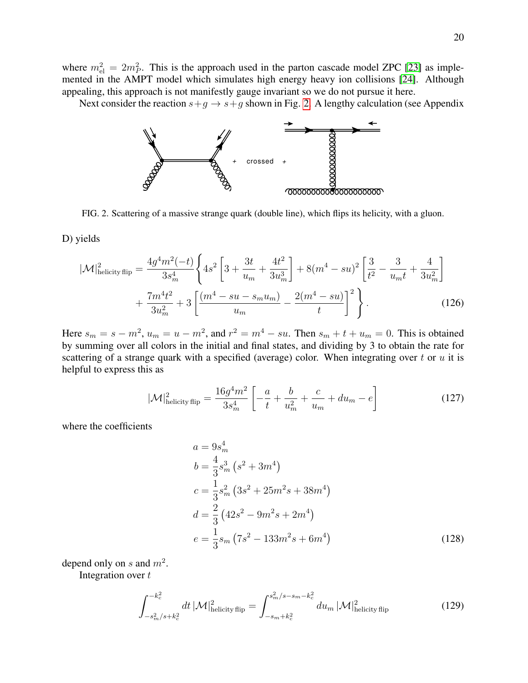where  $m_{\text{el}}^2 = 2m_P^2$ . This is the approach used in the parton cascade model ZPC [\[23\]](#page-26-7) as implemented in the AMPT model which simulates high energy heavy ion collisions [\[24\]](#page-26-8). Although appealing, this approach is not manifestly gauge invariant so we do not pursue it here.

Next consider the reaction  $s+g \to s+g$  shown in Fig. [2.](#page-19-0) A lengthy calculation (see Appendix



<span id="page-19-0"></span>FIG. 2. Scattering of a massive strange quark (double line), which flips its helicity, with a gluon.

D) yields

$$
|\mathcal{M}|_{\text{helicity flip}}^{2} = \frac{4g^{4}m^{2}(-t)}{3s_{m}^{4}} \left\{ 4s^{2} \left[ 3 + \frac{3t}{u_{m}} + \frac{4t^{2}}{3u_{m}^{3}} \right] + 8(m^{4} - su)^{2} \left[ \frac{3}{t^{2}} - \frac{3}{u_{m}t} + \frac{4}{3u_{m}^{2}} \right] + \frac{7m^{4}t^{2}}{3u_{m}^{2}} + 3 \left[ \frac{(m^{4} - su - s_{m}u_{m})}{u_{m}} - \frac{2(m^{4} - su)}{t} \right]^{2} \right\}.
$$
 (126)

Here  $s_m = s - m^2$ ,  $u_m = u - m^2$ , and  $r^2 = m^4 - su$ . Then  $s_m + t + u_m = 0$ . This is obtained by summing over all colors in the initial and final states, and dividing by 3 to obtain the rate for scattering of a strange quark with a specified (average) color. When integrating over t or  $u$  it is helpful to express this as

$$
|\mathcal{M}|_{\text{helicity flip}}^2 = \frac{16g^4m^2}{3s_m^4} \left[ -\frac{a}{t} + \frac{b}{u_m^2} + \frac{c}{u_m} + du_m - e \right]
$$
 (127)

where the coefficients

$$
a = 9s_m^4
$$
  
\n
$$
b = \frac{4}{3}s_m^3 (s^2 + 3m^4)
$$
  
\n
$$
c = \frac{1}{3}s_m^2 (3s^2 + 25m^2s + 38m^4)
$$
  
\n
$$
d = \frac{2}{3} (42s^2 - 9m^2s + 2m^4)
$$
  
\n
$$
e = \frac{1}{3}s_m (7s^2 - 133m^2s + 6m^4)
$$
\n(128)

depend only on s and  $m^2$ .

Integration over  $t$ 

$$
\int_{-s_m^2/s+k_c^2}^{-k_c^2} dt \, |\mathcal{M}|_{\text{helicity flip}}^2 = \int_{-s_m+k_c^2}^{s_m^2/s-s_m-k_c^2} du_m \, |\mathcal{M}|_{\text{helicity flip}}^2 \tag{129}
$$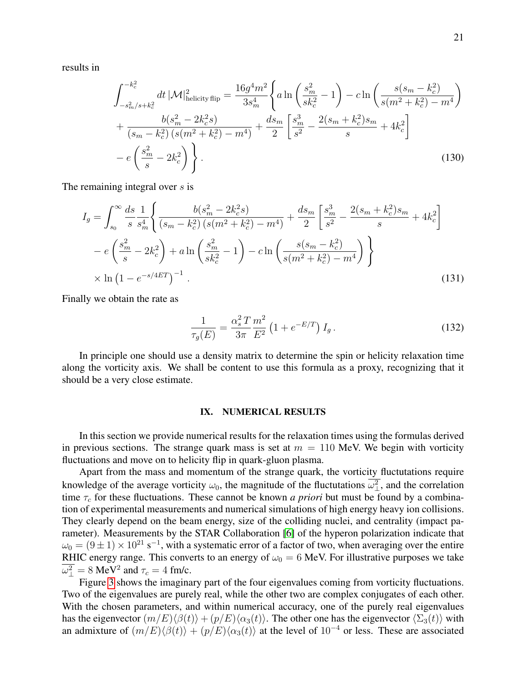results in

$$
\int_{-s_m^2/s+k_c^2}^{-k_c^2} dt \, |\mathcal{M}|_{\text{helicity flip}}^2 = \frac{16g^4m^2}{3s_m^4} \left\{ a \ln \left( \frac{s_m^2}{sk_c^2} - 1 \right) - c \ln \left( \frac{s(s_m - k_c^2)}{s(m^2 + k_c^2) - m^4} \right) \right. \\ + \frac{b(s_m^2 - 2k_c^2s)}{(s_m - k_c^2) \left( s(m^2 + k_c^2) - m^4 \right)} + \frac{ds_m}{2} \left[ \frac{s_m^3}{s^2} - \frac{2(s_m + k_c^2)s_m}{s} + 4k_c^2 \right] \\ - e \left( \frac{s_m^2}{s} - 2k_c^2 \right) \left. \right\} . \tag{130}
$$

The remaining integral over s is

<span id="page-20-1"></span>
$$
I_g = \int_{s_0}^{\infty} \frac{ds}{s} \frac{1}{s_n^4} \left\{ \frac{b(s_m^2 - 2k_c^2 s)}{(s_m - k_c^2) \left(s(m^2 + k_c^2) - m^4\right)} + \frac{ds_m}{2} \left[ \frac{s_m^3}{s^2} - \frac{2(s_m + k_c^2)s_m}{s} + 4k_c^2 \right] \right\}
$$

$$
-e\left(\frac{s_m^2}{s} - 2k_c^2\right) + a \ln\left(\frac{s_m^2}{s k_c^2} - 1\right) - c \ln\left(\frac{s(s_m - k_c^2)}{s(m^2 + k_c^2) - m^4}\right) \right\}
$$

$$
\times \ln\left(1 - e^{-s/4ET}\right)^{-1} . \tag{131}
$$

Finally we obtain the rate as

$$
\frac{1}{\tau_g(E)} = \frac{\alpha_s^2 T}{3\pi} \frac{m^2}{E^2} \left( 1 + e^{-E/T} \right) I_g \,. \tag{132}
$$

In principle one should use a density matrix to determine the spin or helicity relaxation time along the vorticity axis. We shall be content to use this formula as a proxy, recognizing that it should be a very close estimate.

#### <span id="page-20-0"></span>IX. NUMERICAL RESULTS

In this section we provide numerical results for the relaxation times using the formulas derived in previous sections. The strange quark mass is set at  $m = 110$  MeV. We begin with vorticity fluctuations and move on to helicity flip in quark-gluon plasma.

Apart from the mass and momentum of the strange quark, the vorticity fluctutations require knowledge of the average vorticity  $\omega_0$ , the magnitude of the fluctutations  $\omega_\perp^2$ , and the correlation time  $\tau_c$  for these fluctuations. These cannot be known *a priori* but must be found by a combination of experimental measurements and numerical simulations of high energy heavy ion collisions. They clearly depend on the beam energy, size of the colliding nuclei, and centrality (impact parameter). Measurements by the STAR Collaboration [\[6\]](#page-25-14) of the hyperon polarization indicate that  $\omega_0 = (9 \pm 1) \times 10^{21} \text{ s}^{-1}$ , with a systematic error of a factor of two, when averaging over the entire RHIC energy range. This converts to an energy of  $\omega_0 = 6$  MeV. For illustrative purposes we take  $\overline{\omega_{\perp}^2} = 8 \text{ MeV}^2$  and  $\tau_c = 4 \text{ fm/c}.$ 

Figure [3](#page-21-0) shows the imaginary part of the four eigenvalues coming from vorticity fluctuations. Two of the eigenvalues are purely real, while the other two are complex conjugates of each other. With the chosen parameters, and within numerical accuracy, one of the purely real eigenvalues has the eigenvector  $(m/E)\langle\beta(t)\rangle + (p/E)\langle\alpha_3(t)\rangle$ . The other one has the eigenvector  $\langle\Sigma_3(t)\rangle$  with an admixture of  $(m/E)\langle\beta(t)\rangle + (p/E)\langle\alpha_3(t)\rangle$  at the level of 10<sup>-4</sup> or less. These are associated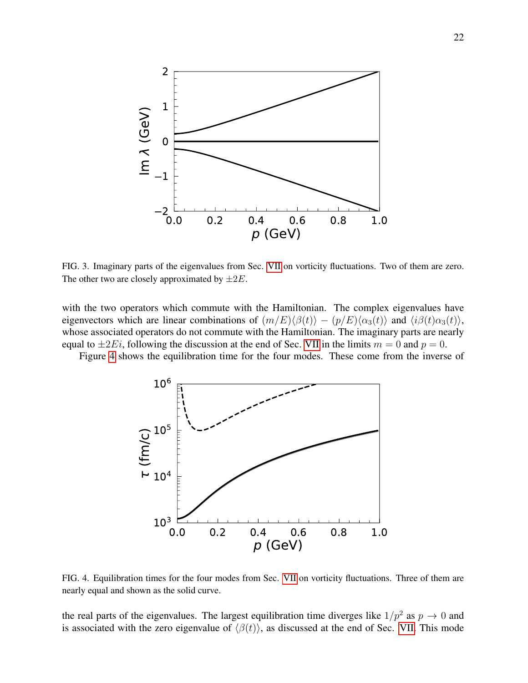

<span id="page-21-0"></span>FIG. 3. Imaginary parts of the eigenvalues from Sec. [VII](#page-11-0) on vorticity fluctuations. Two of them are zero. The other two are closely approximated by  $\pm 2E$ .

with the two operators which commute with the Hamiltonian. The complex eigenvalues have eigenvectors which are linear combinations of  $(m/E)\langle \beta(t) \rangle - (p/E)\langle \alpha_3(t) \rangle$  and  $\langle i\beta(t)\alpha_3(t) \rangle$ , whose associated operators do not commute with the Hamiltonian. The imaginary parts are nearly equal to  $\pm 2E_i$ , following the discussion at the end of Sec. [VII](#page-11-0) in the limits  $m = 0$  and  $p = 0$ .

Figure [4](#page-21-1) shows the equilibration time for the four modes. These come from the inverse of



<span id="page-21-1"></span>FIG. 4. Equilibration times for the four modes from Sec. [VII](#page-11-0) on vorticity fluctuations. Three of them are nearly equal and shown as the solid curve.

the real parts of the eigenvalues. The largest equilibration time diverges like  $1/p^2$  as  $p \to 0$  and is associated with the zero eigenvalue of  $\langle \beta(t) \rangle$ , as discussed at the end of Sec. [VII.](#page-11-0) This mode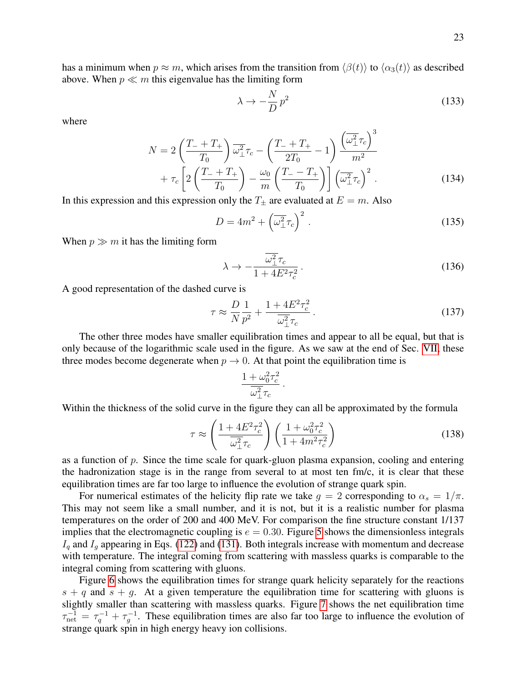has a minimum when  $p \approx m$ , which arises from the transition from  $\langle \beta(t) \rangle$  to  $\langle \alpha_3(t) \rangle$  as described above. When  $p \ll m$  this eigenvalue has the limiting form

$$
\lambda \to -\frac{N}{D}p^2 \tag{133}
$$

 $\sqrt{3}$ 

where

$$
N = 2\left(\frac{T_- + T_+}{T_0}\right)\overline{\omega_\perp^2}\tau_c - \left(\frac{T_- + T_+}{2T_0} - 1\right)\frac{\left(\overline{\omega_\perp^2}\tau_c\right)^3}{m^2} + \tau_c\left[2\left(\frac{T_- + T_+}{T_0}\right) - \frac{\omega_0}{m}\left(\frac{T_- - T_+}{T_0}\right)\right]\left(\overline{\omega_\perp^2}\tau_c\right)^2.
$$
 (134)

In this expression and this expression only the  $T_{\pm}$  are evaluated at  $E = m$ . Also

$$
D = 4m^2 + \left(\overline{\omega_\perp^2} \tau_c\right)^2. \tag{135}
$$

When  $p \gg m$  it has the limiting form

$$
\lambda \to -\frac{\overline{\omega_{\perp}^2}\tau_c}{1 + 4E^2\tau_c^2} \,. \tag{136}
$$

A good representation of the dashed curve is

$$
\tau \approx \frac{D}{N} \frac{1}{p^2} + \frac{1 + 4E^2 \tau_c^2}{\omega_{\perp}^2 \tau_c} \,. \tag{137}
$$

The other three modes have smaller equilibration times and appear to all be equal, but that is only because of the logarithmic scale used in the figure. As we saw at the end of Sec. [VII,](#page-11-0) these three modes become degenerate when  $p \to 0$ . At that point the equilibration time is

$$
\frac{1+\omega_0^2\tau_c^2}{\overline{\omega_\perp^2}\tau_c}
$$

.

Within the thickness of the solid curve in the figure they can all be approximated by the formula

$$
\tau \approx \left(\frac{1 + 4E^2 \tau_c^2}{\omega_{\perp}^2 \tau_c}\right) \left(\frac{1 + \omega_0^2 \tau_c^2}{1 + 4m^2 \tau_c^2}\right) \tag{138}
$$

as a function of  $p$ . Since the time scale for quark-gluon plasma expansion, cooling and entering the hadronization stage is in the range from several to at most ten  $\text{fm/c}$ , it is clear that these equilibration times are far too large to influence the evolution of strange quark spin.

For numerical estimates of the helicity flip rate we take  $g = 2$  corresponding to  $\alpha_s = 1/\pi$ . This may not seem like a small number, and it is not, but it is a realistic number for plasma temperatures on the order of 200 and 400 MeV. For comparison the fine structure constant 1/137 implies that the electromagnetic coupling is  $e = 0.30$ . Figure [5](#page-23-1) shows the dimensionless integrals  $I_q$  and  $I_q$  appearing in Eqs. [\(122\)](#page-18-0) and [\(131\)](#page-20-1). Both integrals increase with momentum and decrease with temperature. The integral coming from scattering with massless quarks is comparable to the integral coming from scattering with gluons.

Figure [6](#page-23-2) shows the equilibration times for strange quark helicity separately for the reactions  $s + q$  and  $s + q$ . At a given temperature the equilibration time for scattering with gluons is slightly smaller than scattering with massless quarks. Figure [7](#page-24-0) shows the net equilibration time  $\tau_{\text{net}}^{-1} = \tau_q^{-1} + \tau_g^{-1}$ . These equilibration times are also far too large to influence the evolution of strange quark spin in high energy heavy ion collisions.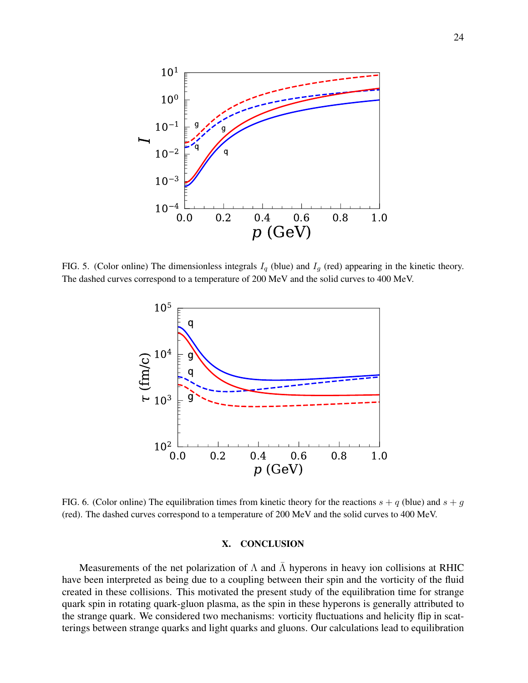

<span id="page-23-1"></span>FIG. 5. (Color online) The dimensionless integrals  $I_q$  (blue) and  $I_g$  (red) appearing in the kinetic theory. The dashed curves correspond to a temperature of 200 MeV and the solid curves to 400 MeV.



<span id="page-23-2"></span>FIG. 6. (Color online) The equilibration times from kinetic theory for the reactions  $s + q$  (blue) and  $s + q$ (red). The dashed curves correspond to a temperature of 200 MeV and the solid curves to 400 MeV.

#### <span id="page-23-0"></span>X. CONCLUSION

Measurements of the net polarization of  $\Lambda$  and  $\overline{\Lambda}$  hyperons in heavy ion collisions at RHIC have been interpreted as being due to a coupling between their spin and the vorticity of the fluid created in these collisions. This motivated the present study of the equilibration time for strange quark spin in rotating quark-gluon plasma, as the spin in these hyperons is generally attributed to the strange quark. We considered two mechanisms: vorticity fluctuations and helicity flip in scatterings between strange quarks and light quarks and gluons. Our calculations lead to equilibration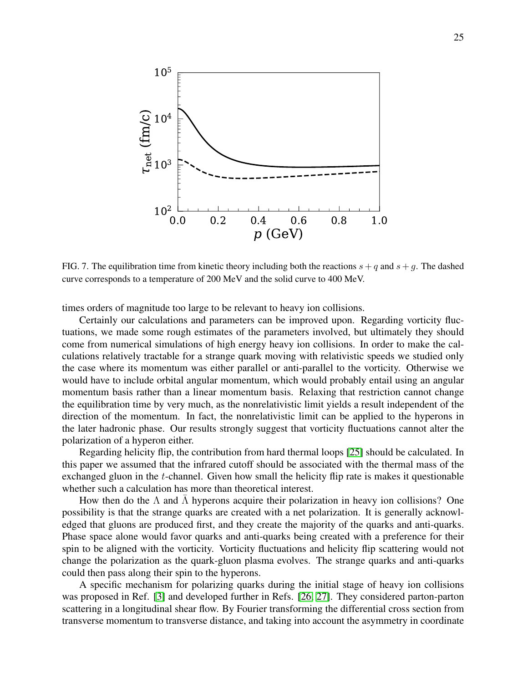

<span id="page-24-0"></span>FIG. 7. The equilibration time from kinetic theory including both the reactions  $s + q$  and  $s + g$ . The dashed curve corresponds to a temperature of 200 MeV and the solid curve to 400 MeV.

times orders of magnitude too large to be relevant to heavy ion collisions.

Certainly our calculations and parameters can be improved upon. Regarding vorticity fluctuations, we made some rough estimates of the parameters involved, but ultimately they should come from numerical simulations of high energy heavy ion collisions. In order to make the calculations relatively tractable for a strange quark moving with relativistic speeds we studied only the case where its momentum was either parallel or anti-parallel to the vorticity. Otherwise we would have to include orbital angular momentum, which would probably entail using an angular momentum basis rather than a linear momentum basis. Relaxing that restriction cannot change the equilibration time by very much, as the nonrelativistic limit yields a result independent of the direction of the momentum. In fact, the nonrelativistic limit can be applied to the hyperons in the later hadronic phase. Our results strongly suggest that vorticity fluctuations cannot alter the polarization of a hyperon either.

Regarding helicity flip, the contribution from hard thermal loops [\[25\]](#page-26-9) should be calculated. In this paper we assumed that the infrared cutoff should be associated with the thermal mass of the exchanged gluon in the  $t$ -channel. Given how small the helicity flip rate is makes it questionable whether such a calculation has more than theoretical interest.

How then do the  $\Lambda$  and  $\Lambda$  hyperons acquire their polarization in heavy ion collisions? One possibility is that the strange quarks are created with a net polarization. It is generally acknowledged that gluons are produced first, and they create the majority of the quarks and anti-quarks. Phase space alone would favor quarks and anti-quarks being created with a preference for their spin to be aligned with the vorticity. Vorticity fluctuations and helicity flip scattering would not change the polarization as the quark-gluon plasma evolves. The strange quarks and anti-quarks could then pass along their spin to the hyperons.

A specific mechanism for polarizing quarks during the initial stage of heavy ion collisions was proposed in Ref. [\[3\]](#page-25-2) and developed further in Refs. [\[26,](#page-26-10) [27\]](#page-26-11). They considered parton-parton scattering in a longitudinal shear flow. By Fourier transforming the differential cross section from transverse momentum to transverse distance, and taking into account the asymmetry in coordinate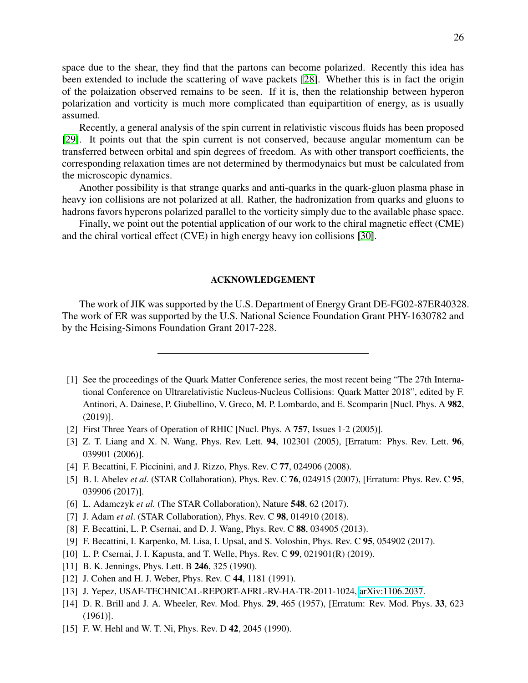space due to the shear, they find that the partons can become polarized. Recently this idea has been extended to include the scattering of wave packets [\[28\]](#page-26-12). Whether this is in fact the origin of the polaization observed remains to be seen. If it is, then the relationship between hyperon polarization and vorticity is much more complicated than equipartition of energy, as is usually assumed.

Recently, a general analysis of the spin current in relativistic viscous fluids has been proposed [\[29\]](#page-26-13). It points out that the spin current is not conserved, because angular momentum can be transferred between orbital and spin degrees of freedom. As with other transport coefficients, the corresponding relaxation times are not determined by thermodynaics but must be calculated from the microscopic dynamics.

Another possibility is that strange quarks and anti-quarks in the quark-gluon plasma phase in heavy ion collisions are not polarized at all. Rather, the hadronization from quarks and gluons to hadrons favors hyperons polarized parallel to the vorticity simply due to the available phase space.

Finally, we point out the potential application of our work to the chiral magnetic effect (CME) and the chiral vortical effect (CVE) in high energy heavy ion collisions [\[30\]](#page-26-14).

### ACKNOWLEDGEMENT

The work of JIK was supported by the U.S. Department of Energy Grant DE-FG02-87ER40328. The work of ER was supported by the U.S. National Science Foundation Grant PHY-1630782 and by the Heising-Simons Foundation Grant 2017-228.

- <span id="page-25-0"></span>[1] See the proceedings of the Quark Matter Conference series, the most recent being "The 27th International Conference on Ultrarelativistic Nucleus-Nucleus Collisions: Quark Matter 2018", edited by F. Antinori, A. Dainese, P. Giubellino, V. Greco, M. P. Lombardo, and E. Scomparin [Nucl. Phys. A 982, (2019)].
- <span id="page-25-1"></span>[2] First Three Years of Operation of RHIC [Nucl. Phys. A 757, Issues 1-2 (2005)].
- <span id="page-25-2"></span>[3] Z. T. Liang and X. N. Wang, Phys. Rev. Lett. **94**, 102301 (2005), [Erratum: Phys. Rev. Lett. **96**, 039901 (2006)].
- <span id="page-25-3"></span>[4] F. Becattini, F. Piccinini, and J. Rizzo, Phys. Rev. C 77, 024906 (2008).
- <span id="page-25-4"></span>[5] B. I. Abelev *et al.* (STAR Collaboration), Phys. Rev. C 76, 024915 (2007), [Erratum: Phys. Rev. C 95, 039906 (2017)].
- <span id="page-25-14"></span>[6] L. Adamczyk *et al.* (The STAR Collaboration), Nature 548, 62 (2017).
- <span id="page-25-5"></span>[7] J. Adam *et al.* (STAR Collaboration), Phys. Rev. C **98**, 014910 (2018).
- <span id="page-25-6"></span>[8] F. Becattini, L. P. Csernai, and D. J. Wang, Phys. Rev. C 88, 034905 (2013).
- <span id="page-25-7"></span>[9] F. Becattini, I. Karpenko, M. Lisa, I. Upsal, and S. Voloshin, Phys. Rev. C 95, 054902 (2017).
- <span id="page-25-8"></span>[10] L. P. Csernai, J. I. Kapusta, and T. Welle, Phys. Rev. C 99, 021901(R) (2019).
- <span id="page-25-9"></span>[11] B. K. Jennings, Phys. Lett. B 246, 325 (1990).
- <span id="page-25-10"></span>[12] J. Cohen and H. J. Weber, Phys. Rev. C 44, 1181 (1991).
- <span id="page-25-11"></span>[13] J. Yepez, USAF-TECHNICAL-REPORT-AFRL-RV-HA-TR-2011-1024, [arXiv:1106.2037.](http://arxiv.org/abs/1106.2037)
- <span id="page-25-12"></span>[14] D. R. Brill and J. A. Wheeler, Rev. Mod. Phys. 29, 465 (1957), [Erratum: Rev. Mod. Phys. 33, 623 (1961)].
- <span id="page-25-13"></span>[15] F. W. Hehl and W. T. Ni, Phys. Rev. D 42, 2045 (1990).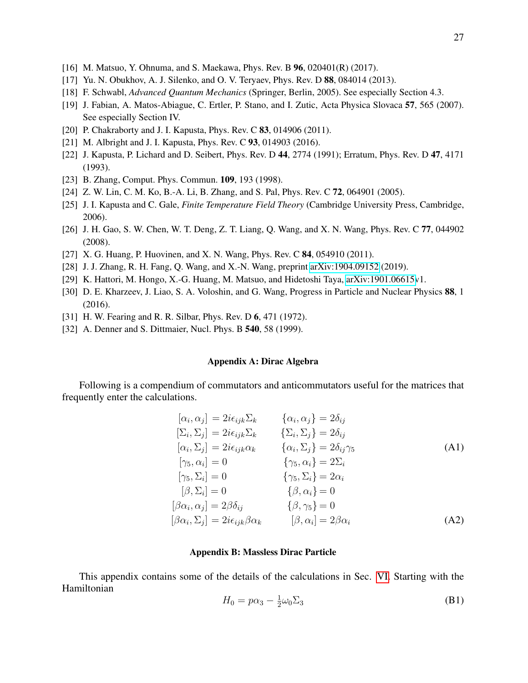- <span id="page-26-0"></span>[16] M. Matsuo, Y. Ohnuma, and S. Maekawa, Phys. Rev. B 96, 020401(R) (2017).
- <span id="page-26-1"></span>[17] Yu. N. Obukhov, A. J. Silenko, and O. V. Teryaev, Phys. Rev. D 88, 084014 (2013).
- <span id="page-26-2"></span>[18] F. Schwabl, *Advanced Quantum Mechanics* (Springer, Berlin, 2005). See especially Section 4.3.
- <span id="page-26-3"></span>[19] J. Fabian, A. Matos-Abiague, C. Ertler, P. Stano, and I. Zutic, Acta Physica Slovaca 57, 565 (2007). See especially Section IV.
- <span id="page-26-4"></span>[20] P. Chakraborty and J. I. Kapusta, Phys. Rev. C **83**, 014906 (2011).
- <span id="page-26-5"></span>[21] M. Albright and J. I. Kapusta, Phys. Rev. C 93, 014903 (2016).
- <span id="page-26-6"></span>[22] J. Kapusta, P. Lichard and D. Seibert, Phys. Rev. D 44, 2774 (1991); Erratum, Phys. Rev. D 47, 4171 (1993).
- <span id="page-26-7"></span>[23] B. Zhang, Comput. Phys. Commun. 109, 193 (1998).
- <span id="page-26-8"></span>[24] Z. W. Lin, C. M. Ko, B.-A. Li, B. Zhang, and S. Pal, Phys. Rev. C 72, 064901 (2005).
- <span id="page-26-9"></span>[25] J. I. Kapusta and C. Gale, *Finite Temperature Field Theory* (Cambridge University Press, Cambridge, 2006).
- <span id="page-26-10"></span>[26] J. H. Gao, S. W. Chen, W. T. Deng, Z. T. Liang, Q. Wang, and X. N. Wang, Phys. Rev. C 77, 044902 (2008).
- <span id="page-26-11"></span>[27] X. G. Huang, P. Huovinen, and X. N. Wang, Phys. Rev. C 84, 054910 (2011).
- <span id="page-26-12"></span>[28] J. J. Zhang, R. H. Fang, Q. Wang, and X.-N. Wang, preprint [arXiv:1904.09152](http://arxiv.org/abs/1904.09152) (2019).
- <span id="page-26-13"></span>[29] K. Hattori, M. Hongo, X.-G. Huang, M. Matsuo, and Hidetoshi Taya, [arXiv:1901.06615v](http://arxiv.org/abs/1901.06615)1.
- <span id="page-26-14"></span>[30] D. E. Kharzeev, J. Liao, S. A. Voloshin, and G. Wang, Progress in Particle and Nuclear Physics 88, 1 (2016).
- <span id="page-26-15"></span>[31] H. W. Fearing and R. R. Silbar, Phys. Rev. D 6, 471 (1972).
- <span id="page-26-16"></span>[32] A. Denner and S. Dittmaier, Nucl. Phys. B **540**, 58 (1999).

## Appendix A: Dirac Algebra

Following is a compendium of commutators and anticommutators useful for the matrices that frequently enter the calculations.

$$
[\alpha_i, \alpha_j] = 2i\epsilon_{ijk}\Sigma_k \qquad \{\alpha_i, \alpha_j\} = 2\delta_{ij}
$$
  
\n
$$
[\Sigma_i, \Sigma_j] = 2i\epsilon_{ijk}\Sigma_k \qquad \{\Sigma_i, \Sigma_j\} = 2\delta_{ij}
$$
  
\n
$$
[\alpha_i, \Sigma_j] = 2i\epsilon_{ijk}\alpha_k \qquad \{\alpha_i, \Sigma_j\} = 2\delta_{ij}\gamma_5
$$
  
\n
$$
[\gamma_5, \alpha_i] = 0 \qquad \{\gamma_5, \alpha_i\} = 2\Sigma_i
$$
  
\n
$$
[\beta, \Sigma_i] = 0 \qquad \{\gamma_5, \Sigma_i\} = 2\alpha_i
$$
  
\n
$$
[\beta, \Sigma_i] = 0 \qquad \{\beta, \alpha_i\} = 0
$$
  
\n
$$
[\beta\alpha_i, \alpha_j] = 2\beta\delta_{ij} \qquad \{\beta, \gamma_5\} = 0
$$
  
\n
$$
[\beta\alpha_i, \Sigma_j] = 2i\epsilon_{ijk}\beta\alpha_k \qquad [\beta, \alpha_i] = 2\beta\alpha_i
$$
  
\n(A2)

### Appendix B: Massless Dirac Particle

This appendix contains some of the details of the calculations in Sec. [VI.](#page-9-0) Starting with the Hamiltonian

$$
H_0 = p\alpha_3 - \frac{1}{2}\omega_0 \Sigma_3 \tag{B1}
$$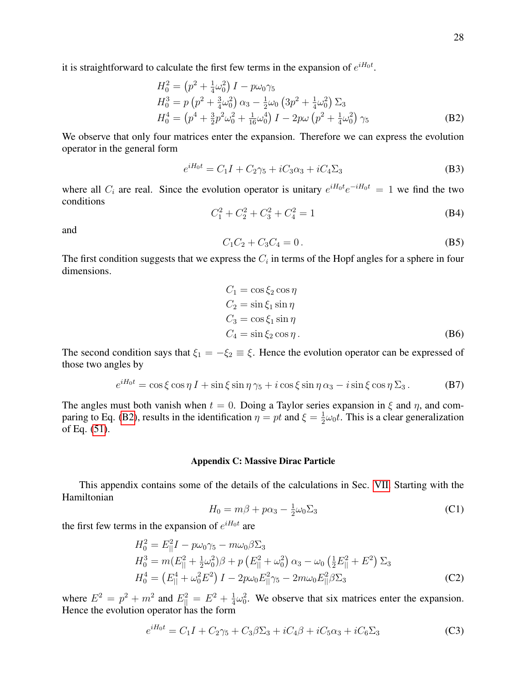it is straightforward to calculate the first few terms in the expansion of  $e^{iH_0t}$ .

<span id="page-27-0"></span>
$$
H_0^2 = (p^2 + \frac{1}{4}\omega_0^2) I - p\omega_0\gamma_5
$$
  
\n
$$
H_0^3 = p (p^2 + \frac{3}{4}\omega_0^2) \alpha_3 - \frac{1}{2}\omega_0 (3p^2 + \frac{1}{4}\omega_0^2) \Sigma_3
$$
  
\n
$$
H_0^4 = (p^4 + \frac{3}{2}p^2\omega_0^2 + \frac{1}{16}\omega_0^4) I - 2p\omega (p^2 + \frac{1}{4}\omega_0^2) \gamma_5
$$
 (B2)

We observe that only four matrices enter the expansion. Therefore we can express the evolution operator in the general form

$$
e^{iH_0t} = C_1I + C_2\gamma_5 + iC_3\alpha_3 + iC_4\Sigma_3
$$
 (B3)

where all  $C_i$  are real. Since the evolution operator is unitary  $e^{iH_0t}e^{-iH_0t} = 1$  we find the two conditions

$$
C_1^2 + C_2^2 + C_3^2 + C_4^2 = 1
$$
 (B4)

and

$$
C_1 C_2 + C_3 C_4 = 0.
$$
 (B5)

The first condition suggests that we express the  $C_i$  in terms of the Hopf angles for a sphere in four dimensions.

$$
C_1 = \cos \xi_2 \cos \eta
$$
  
\n
$$
C_2 = \sin \xi_1 \sin \eta
$$
  
\n
$$
C_3 = \cos \xi_1 \sin \eta
$$
  
\n
$$
C_4 = \sin \xi_2 \cos \eta.
$$
 (B6)

The second condition says that  $\xi_1 = -\xi_2 \equiv \xi$ . Hence the evolution operator can be expressed of those two angles by

$$
e^{iH_0t} = \cos\xi\cos\eta\,I + \sin\xi\sin\eta\,\gamma_5 + i\cos\xi\sin\eta\,\alpha_3 - i\sin\xi\cos\eta\,\Sigma_3. \tag{B7}
$$

The angles must both vanish when  $t = 0$ . Doing a Taylor series expansion in  $\xi$  and  $\eta$ , and com-paring to Eq. [\(B2\)](#page-27-0), results in the identification  $\eta = pt$  and  $\xi = \frac{1}{2}$  $\frac{1}{2}\omega_0 t$ . This is a clear generalization of Eq. [\(51\)](#page-8-3).

### Appendix C: Massive Dirac Particle

This appendix contains some of the details of the calculations in Sec. [VII.](#page-11-0) Starting with the Hamiltonian

$$
H_0 = m\beta + p\alpha_3 - \frac{1}{2}\omega_0 \Sigma_3 \tag{C1}
$$

the first few terms in the expansion of  $e^{iH_0t}$  are

$$
H_0^2 = E_{\parallel}^2 I - p\omega_0 \gamma_5 - m\omega_0 \beta \Sigma_3
$$
  
\n
$$
H_0^3 = m(E_{\parallel}^2 + \frac{1}{2}\omega_0^2)\beta + p(E_{\parallel}^2 + \omega_0^2) \alpha_3 - \omega_0 \left(\frac{1}{2}E_{\parallel}^2 + E^2\right) \Sigma_3
$$
  
\n
$$
H_0^4 = \left(E_{\parallel}^4 + \omega_0^2 E^2\right)I - 2p\omega_0 E_{\parallel}^2 \gamma_5 - 2m\omega_0 E_{\parallel}^2 \beta \Sigma_3
$$
\n(C2)

where  $E^2 = p^2 + m^2$  and  $E_{||}^2 = E^2 + \frac{1}{4}$  $\frac{1}{4}\omega_0^2$ . We observe that six matrices enter the expansion. Hence the evolution operator has the form

$$
e^{iH_0t} = C_1I + C_2\gamma_5 + C_3\beta\Sigma_3 + iC_4\beta + iC_5\alpha_3 + iC_6\Sigma_3
$$
 (C3)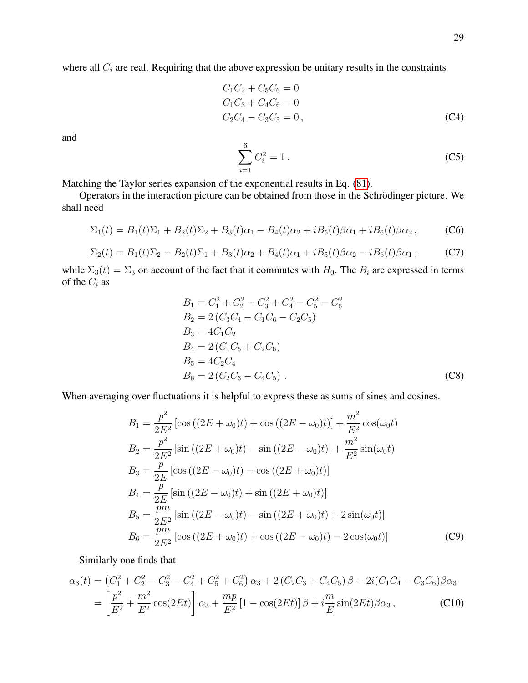where all  $C_i$  are real. Requiring that the above expression be unitary results in the constraints

$$
C_1C_2 + C_5C_6 = 0
$$
  
\n
$$
C_1C_3 + C_4C_6 = 0
$$
  
\n
$$
C_2C_4 - C_3C_5 = 0,
$$
\n(C4)

and

$$
\sum_{i=1}^{6} C_i^2 = 1.
$$
 (C5)

Matching the Taylor series expansion of the exponential results in Eq. [\(81\)](#page-11-1).

Operators in the interaction picture can be obtained from those in the Schrödinger picture. We shall need

$$
\Sigma_1(t) = B_1(t)\Sigma_1 + B_2(t)\Sigma_2 + B_3(t)\alpha_1 - B_4(t)\alpha_2 + iB_5(t)\beta\alpha_1 + iB_6(t)\beta\alpha_2, \tag{C6}
$$

$$
\Sigma_2(t) = B_1(t)\Sigma_2 - B_2(t)\Sigma_1 + B_3(t)\alpha_2 + B_4(t)\alpha_1 + iB_5(t)\beta_2 - iB_6(t)\beta_2,
$$
 (C7)

while  $\Sigma_3(t) = \Sigma_3$  on account of the fact that it commutes with  $H_0$ . The  $B_i$  are expressed in terms of the  $C_i$  as

$$
B_1 = C_1^2 + C_2^2 - C_3^2 + C_4^2 - C_5^2 - C_6^2
$$
  
\n
$$
B_2 = 2 (C_3 C_4 - C_1 C_6 - C_2 C_5)
$$
  
\n
$$
B_3 = 4C_1 C_2
$$
  
\n
$$
B_4 = 2 (C_1 C_5 + C_2 C_6)
$$
  
\n
$$
B_5 = 4C_2 C_4
$$
  
\n
$$
B_6 = 2 (C_2 C_3 - C_4 C_5)
$$
 (C8)

When averaging over fluctuations it is helpful to express these as sums of sines and cosines.

$$
B_1 = \frac{p^2}{2E^2} \left[ \cos \left( (2E + \omega_0)t \right) + \cos \left( (2E - \omega_0)t \right) \right] + \frac{m^2}{E^2} \cos(\omega_0 t)
$$
  
\n
$$
B_2 = \frac{p^2}{2E^2} \left[ \sin \left( (2E + \omega_0)t \right) - \sin \left( (2E - \omega_0)t \right) \right] + \frac{m^2}{E^2} \sin(\omega_0 t)
$$
  
\n
$$
B_3 = \frac{p}{2E} \left[ \cos \left( (2E - \omega_0)t \right) - \cos \left( (2E + \omega_0)t \right) \right]
$$
  
\n
$$
B_4 = \frac{p}{2E} \left[ \sin \left( (2E - \omega_0)t \right) + \sin \left( (2E + \omega_0)t \right) \right]
$$
  
\n
$$
B_5 = \frac{pm}{2E^2} \left[ \sin \left( (2E - \omega_0)t \right) - \sin \left( (2E + \omega_0)t \right) + 2 \sin(\omega_0 t) \right]
$$
  
\n
$$
B_6 = \frac{pm}{2E^2} \left[ \cos \left( (2E + \omega_0)t \right) + \cos \left( (2E - \omega_0)t \right) - 2 \cos(\omega_0 t) \right]
$$
 (C9)

Similarly one finds that

$$
\alpha_3(t) = (C_1^2 + C_2^2 - C_3^2 - C_4^2 + C_5^2 + C_6^2) \alpha_3 + 2(C_2C_3 + C_4C_5) \beta + 2i(C_1C_4 - C_3C_6) \beta \alpha_3
$$
  
=  $\left[ \frac{p^2}{E^2} + \frac{m^2}{E^2} \cos(2Et) \right] \alpha_3 + \frac{mp}{E^2} [1 - \cos(2Et)] \beta + i \frac{m}{E} \sin(2Et) \beta \alpha_3,$  (C10)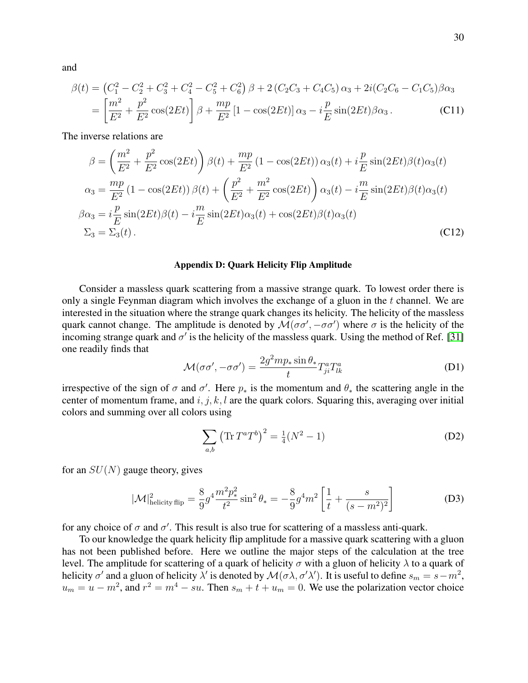and

$$
\beta(t) = (C_1^2 - C_2^2 + C_3^2 + C_4^2 - C_5^2 + C_6^2) \beta + 2 (C_2 C_3 + C_4 C_5) \alpha_3 + 2i (C_2 C_6 - C_1 C_5) \beta \alpha_3
$$
  
= 
$$
\left[ \frac{m^2}{E^2} + \frac{p^2}{E^2} \cos(2Et) \right] \beta + \frac{mp}{E^2} [1 - \cos(2Et)] \alpha_3 - i \frac{p}{E} \sin(2Et) \beta \alpha_3.
$$
 (C11)

The inverse relations are

$$
\beta = \left(\frac{m^2}{E^2} + \frac{p^2}{E^2}\cos(2Et)\right)\beta(t) + \frac{mp}{E^2}\left(1 - \cos(2Et)\right)\alpha_3(t) + i\frac{p}{E}\sin(2Et)\beta(t)\alpha_3(t)
$$

$$
\alpha_3 = \frac{mp}{E^2}\left(1 - \cos(2Et)\right)\beta(t) + \left(\frac{p^2}{E^2} + \frac{m^2}{E^2}\cos(2Et)\right)\alpha_3(t) - i\frac{m}{E}\sin(2Et)\beta(t)\alpha_3(t)
$$

$$
\beta\alpha_3 = i\frac{p}{E}\sin(2Et)\beta(t) - i\frac{m}{E}\sin(2Et)\alpha_3(t) + \cos(2Et)\beta(t)\alpha_3(t)
$$

$$
\Sigma_3 = \Sigma_3(t).
$$
(C12)

#### Appendix D: Quark Helicity Flip Amplitude

Consider a massless quark scattering from a massive strange quark. To lowest order there is only a single Feynman diagram which involves the exchange of a gluon in the t channel. We are interested in the situation where the strange quark changes its helicity. The helicity of the massless quark cannot change. The amplitude is denoted by  $\mathcal{M}(\sigma\sigma', -\sigma\sigma')$  where  $\sigma$  is the helicity of the incoming strange quark and  $\sigma'$  is the helicity of the massless quark. Using the method of Ref. [\[31\]](#page-26-15) one readily finds that

$$
\mathcal{M}(\sigma\sigma', -\sigma\sigma') = \frac{2g^2mp_*\sin\theta_*}{t}T_{ji}^aT_{lk}^a \tag{D1}
$$

irrespective of the sign of  $\sigma$  and  $\sigma'$ . Here  $p_*$  is the momentum and  $\theta_*$  the scattering angle in the center of momentum frame, and  $i, j, k, l$  are the quark colors. Squaring this, averaging over initial colors and summing over all colors using

$$
\sum_{a,b} (\text{Tr} T^a T^b)^2 = \frac{1}{4} (N^2 - 1)
$$
 (D2)

for an  $SU(N)$  gauge theory, gives

$$
|\mathcal{M}|_{\text{helicity flip}}^2 = \frac{8}{9} g^4 \frac{m^2 p_*^2}{t^2} \sin^2 \theta_* = -\frac{8}{9} g^4 m^2 \left[ \frac{1}{t} + \frac{s}{(s - m^2)^2} \right]
$$
(D3)

for any choice of  $\sigma$  and  $\sigma'$ . This result is also true for scattering of a massless anti-quark.

To our knowledge the quark helicity flip amplitude for a massive quark scattering with a gluon has not been published before. Here we outline the major steps of the calculation at the tree level. The amplitude for scattering of a quark of helicity  $\sigma$  with a gluon of helicity  $\lambda$  to a quark of helicity  $\sigma'$  and a gluon of helicity  $\lambda'$  is denoted by  $\mathcal{M}(\sigma\lambda,\sigma'\lambda')$ . It is useful to define  $s_m=s-m^2$ ,  $u_m = u - m^2$ , and  $r^2 = m^4 - su$ . Then  $s_m + t + u_m = 0$ . We use the polarization vector choice